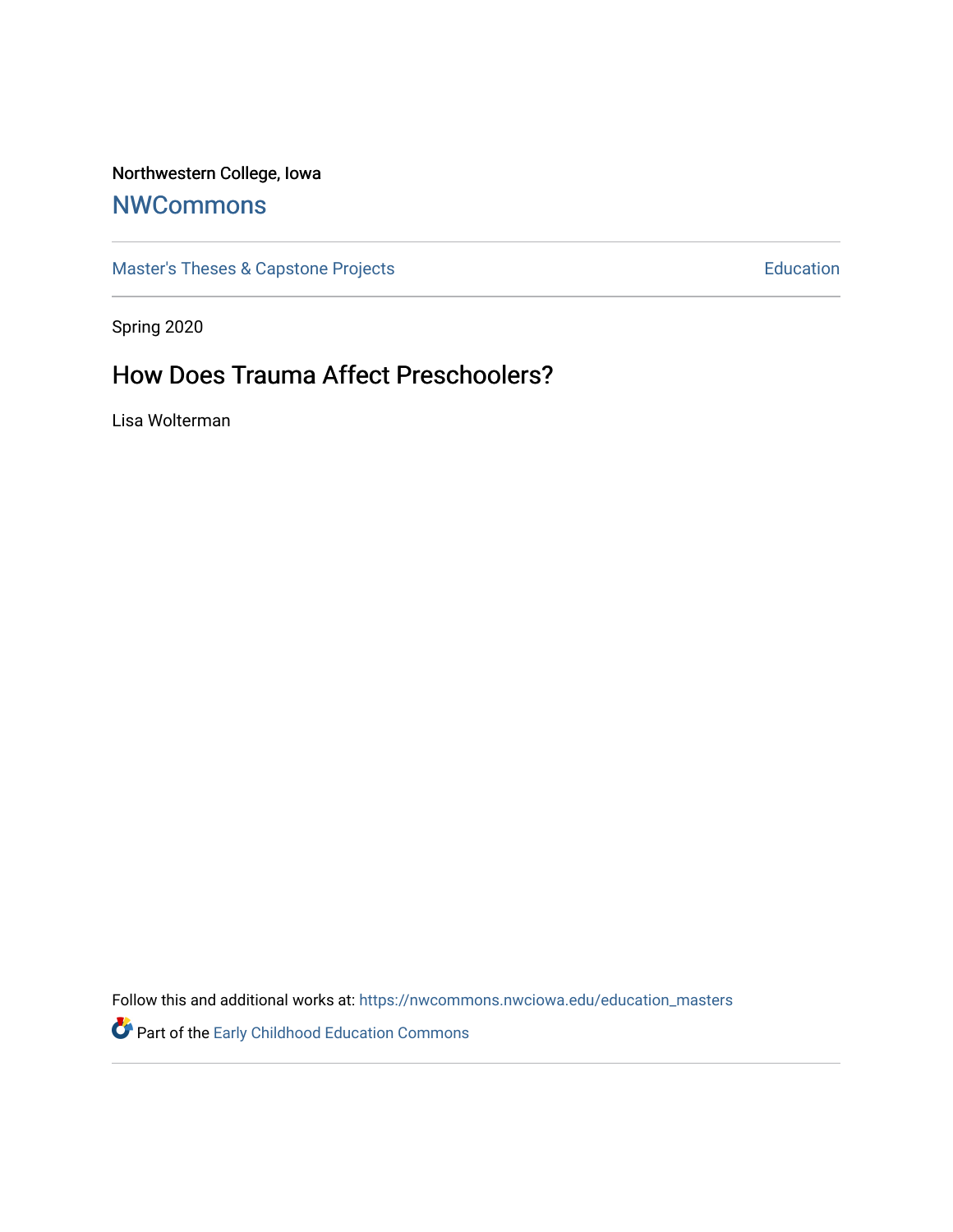## Northwestern College, Iowa

# **[NWCommons](https://nwcommons.nwciowa.edu/)**

[Master's Theses & Capstone Projects](https://nwcommons.nwciowa.edu/education_masters) **Education** Education

Spring 2020

# How Does Trauma Affect Preschoolers?

Lisa Wolterman

Follow this and additional works at: [https://nwcommons.nwciowa.edu/education\\_masters](https://nwcommons.nwciowa.edu/education_masters?utm_source=nwcommons.nwciowa.edu%2Feducation_masters%2F225&utm_medium=PDF&utm_campaign=PDFCoverPages)

Part of the [Early Childhood Education Commons](http://network.bepress.com/hgg/discipline/1377?utm_source=nwcommons.nwciowa.edu%2Feducation_masters%2F225&utm_medium=PDF&utm_campaign=PDFCoverPages)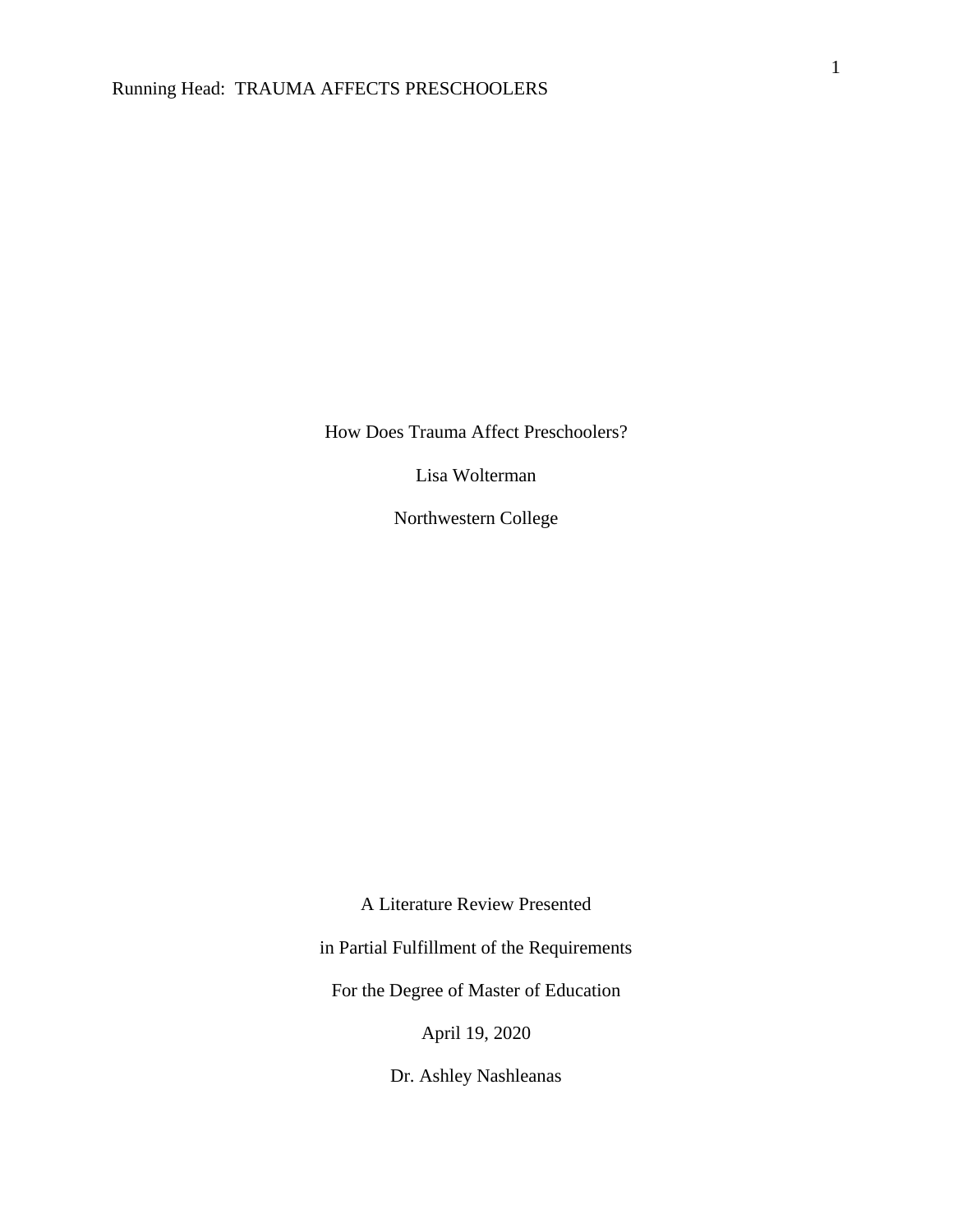How Does Trauma Affect Preschoolers?

Lisa Wolterman

Northwestern College

A Literature Review Presented

in Partial Fulfillment of the Requirements

For the Degree of Master of Education

April 19, 2020

Dr. Ashley Nashleanas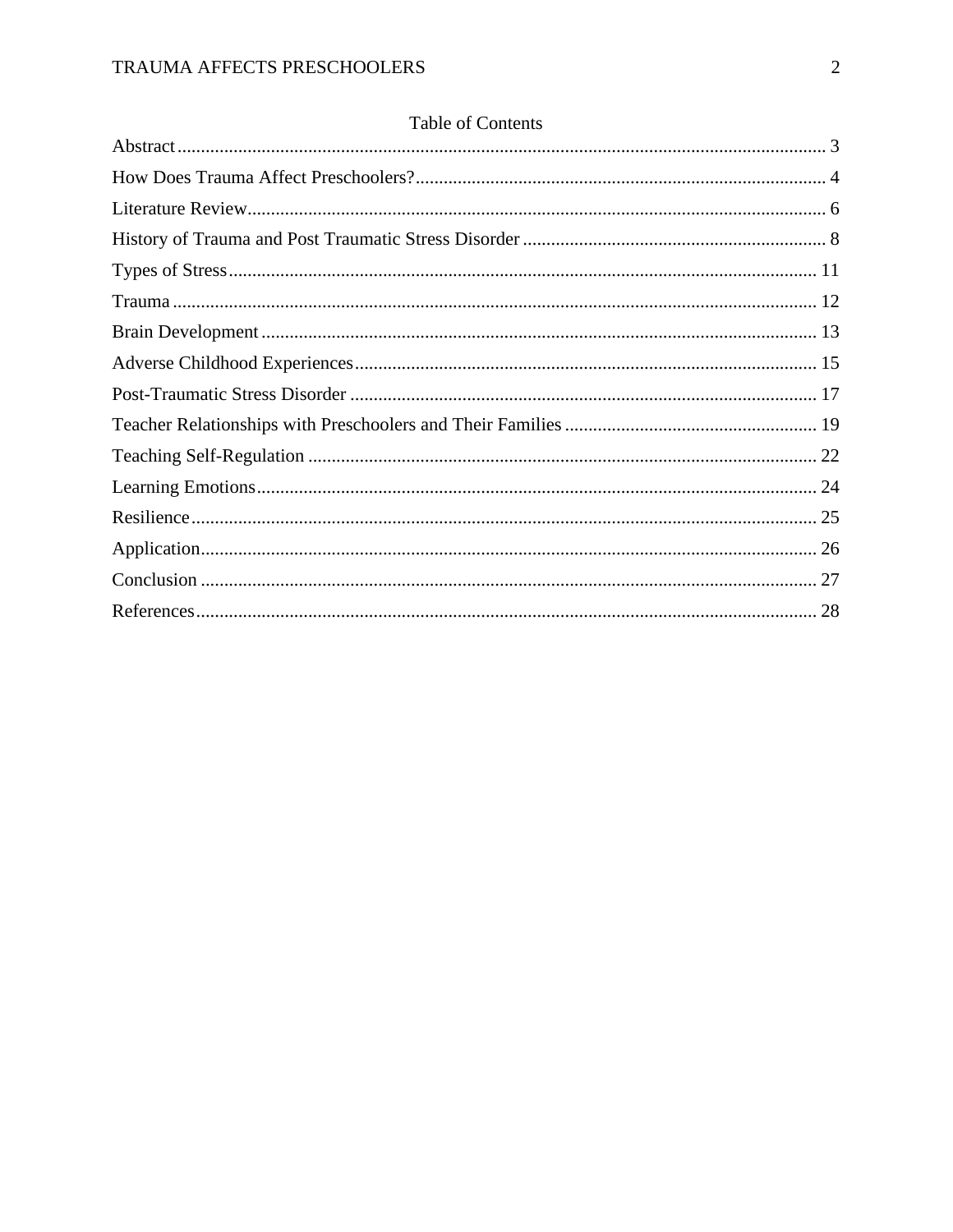## Table of Contents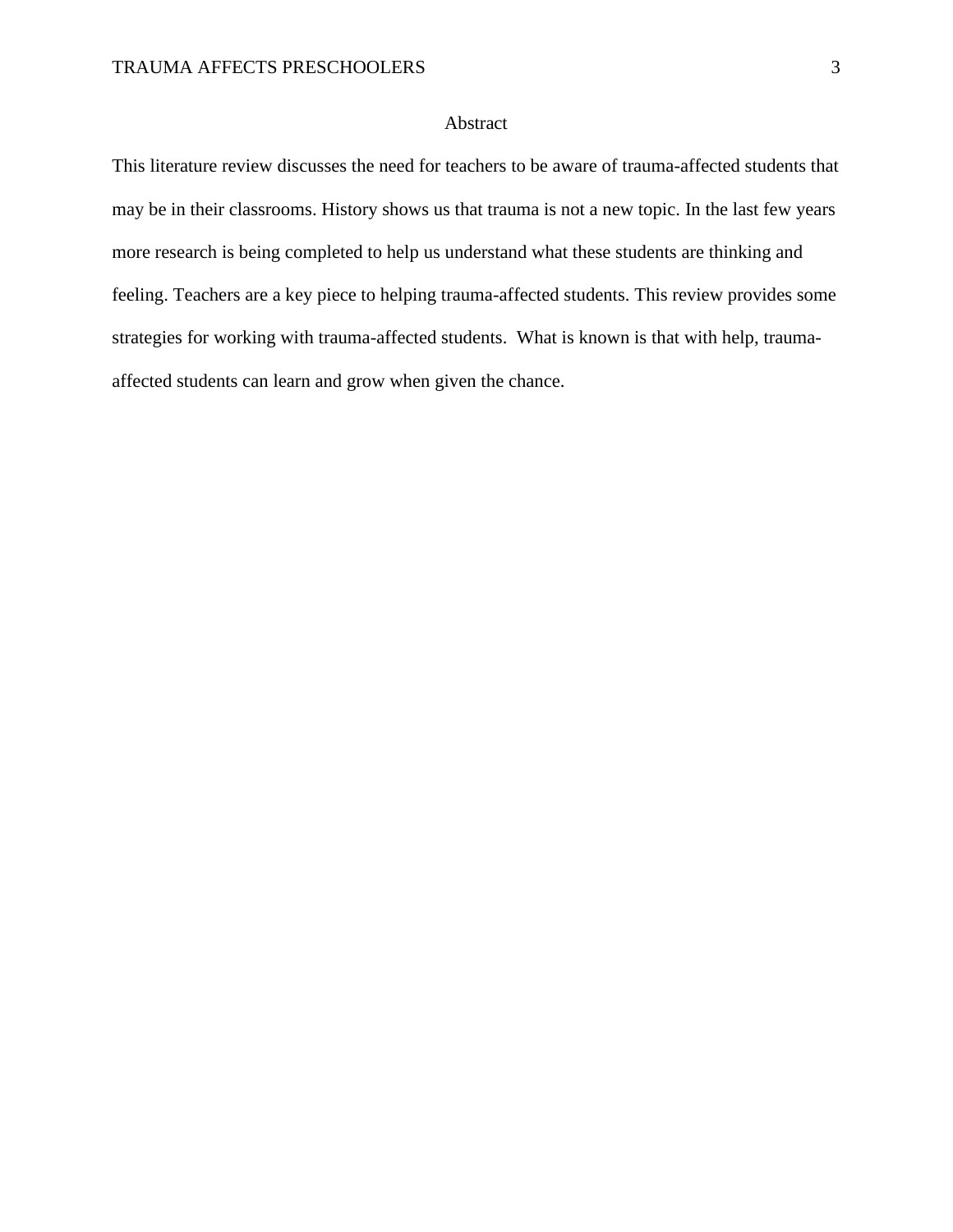## Abstract

<span id="page-3-0"></span>This literature review discusses the need for teachers to be aware of trauma-affected students that may be in their classrooms. History shows us that trauma is not a new topic. In the last few years more research is being completed to help us understand what these students are thinking and feeling. Teachers are a key piece to helping trauma-affected students. This review provides some strategies for working with trauma-affected students. What is known is that with help, traumaaffected students can learn and grow when given the chance.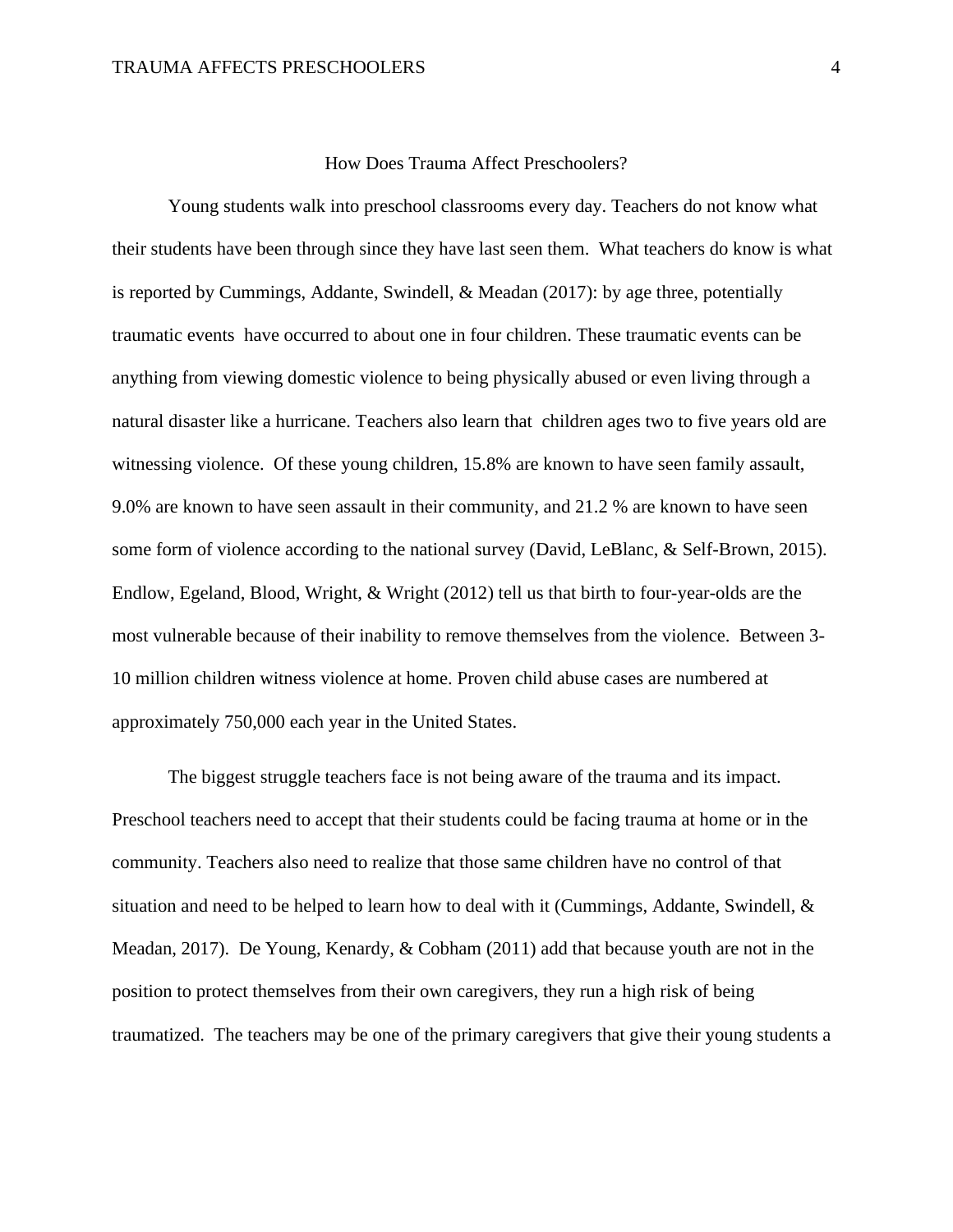## How Does Trauma Affect Preschoolers?

<span id="page-4-0"></span>Young students walk into preschool classrooms every day. Teachers do not know what their students have been through since they have last seen them. What teachers do know is what is reported by Cummings, Addante, Swindell, & Meadan (2017): by age three, potentially traumatic events have occurred to about one in four children. These traumatic events can be anything from viewing domestic violence to being physically abused or even living through a natural disaster like a hurricane. Teachers also learn that children ages two to five years old are witnessing violence. Of these young children, 15.8% are known to have seen family assault, 9.0% are known to have seen assault in their community, and 21.2 % are known to have seen some form of violence according to the national survey (David, LeBlanc, & Self-Brown, 2015). Endlow, Egeland, Blood, Wright, & Wright (2012) tell us that birth to four-year-olds are the most vulnerable because of their inability to remove themselves from the violence. Between 3- 10 million children witness violence at home. Proven child abuse cases are numbered at approximately 750,000 each year in the United States.

The biggest struggle teachers face is not being aware of the trauma and its impact. Preschool teachers need to accept that their students could be facing trauma at home or in the community. Teachers also need to realize that those same children have no control of that situation and need to be helped to learn how to deal with it (Cummings, Addante, Swindell,  $\&$ Meadan, 2017). De Young, Kenardy, & Cobham (2011) add that because youth are not in the position to protect themselves from their own caregivers, they run a high risk of being traumatized. The teachers may be one of the primary caregivers that give their young students a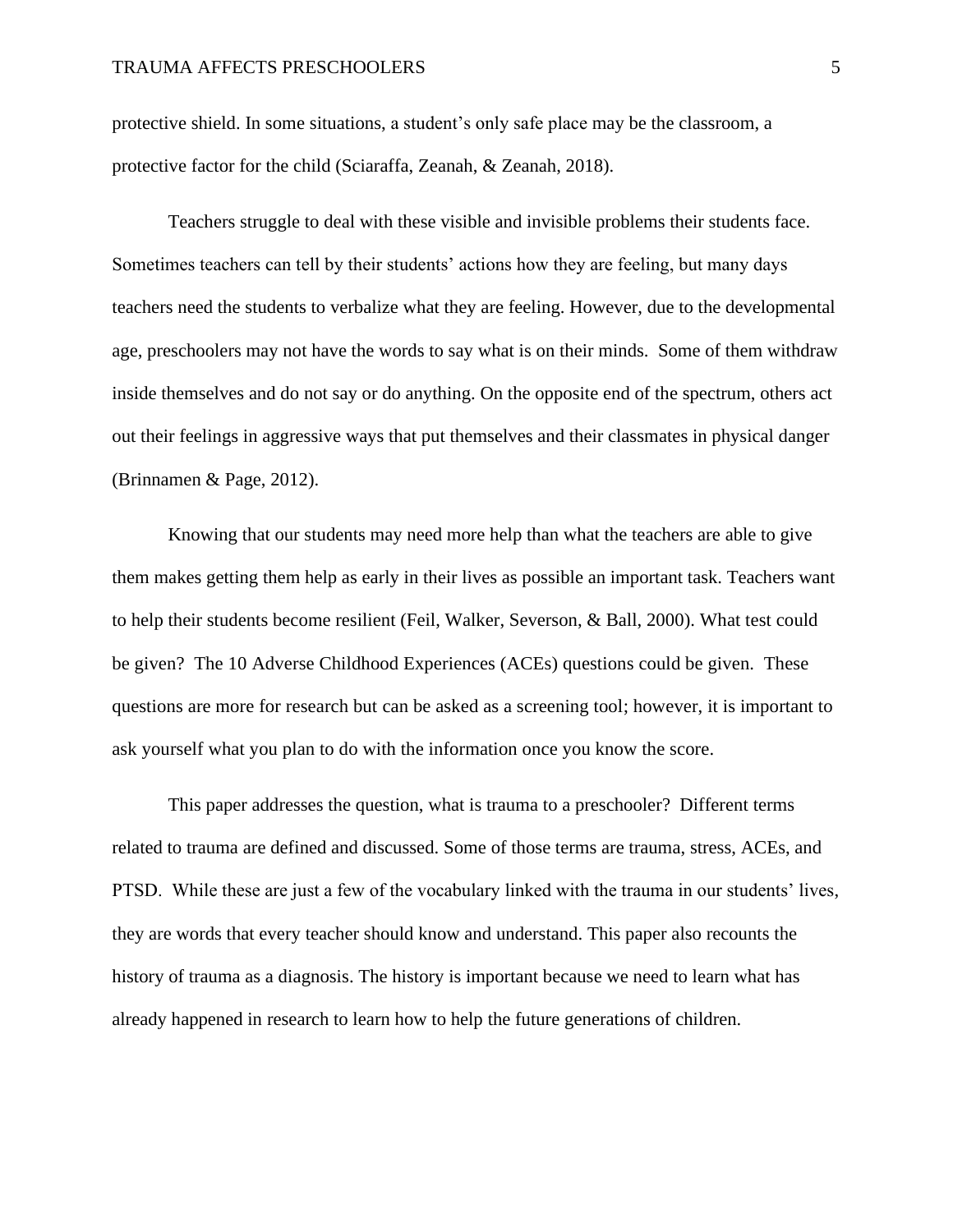protective shield. In some situations, a student's only safe place may be the classroom, a protective factor for the child (Sciaraffa, Zeanah, & Zeanah, 2018).

Teachers struggle to deal with these visible and invisible problems their students face. Sometimes teachers can tell by their students' actions how they are feeling, but many days teachers need the students to verbalize what they are feeling. However, due to the developmental age, preschoolers may not have the words to say what is on their minds. Some of them withdraw inside themselves and do not say or do anything. On the opposite end of the spectrum, others act out their feelings in aggressive ways that put themselves and their classmates in physical danger (Brinnamen & Page, 2012).

Knowing that our students may need more help than what the teachers are able to give them makes getting them help as early in their lives as possible an important task. Teachers want to help their students become resilient (Feil, Walker, Severson, & Ball, 2000). What test could be given? The 10 Adverse Childhood Experiences (ACEs) questions could be given. These questions are more for research but can be asked as a screening tool; however, it is important to ask yourself what you plan to do with the information once you know the score.

This paper addresses the question, what is trauma to a preschooler? Different terms related to trauma are defined and discussed. Some of those terms are trauma, stress, ACEs, and PTSD. While these are just a few of the vocabulary linked with the trauma in our students' lives, they are words that every teacher should know and understand. This paper also recounts the history of trauma as a diagnosis. The history is important because we need to learn what has already happened in research to learn how to help the future generations of children.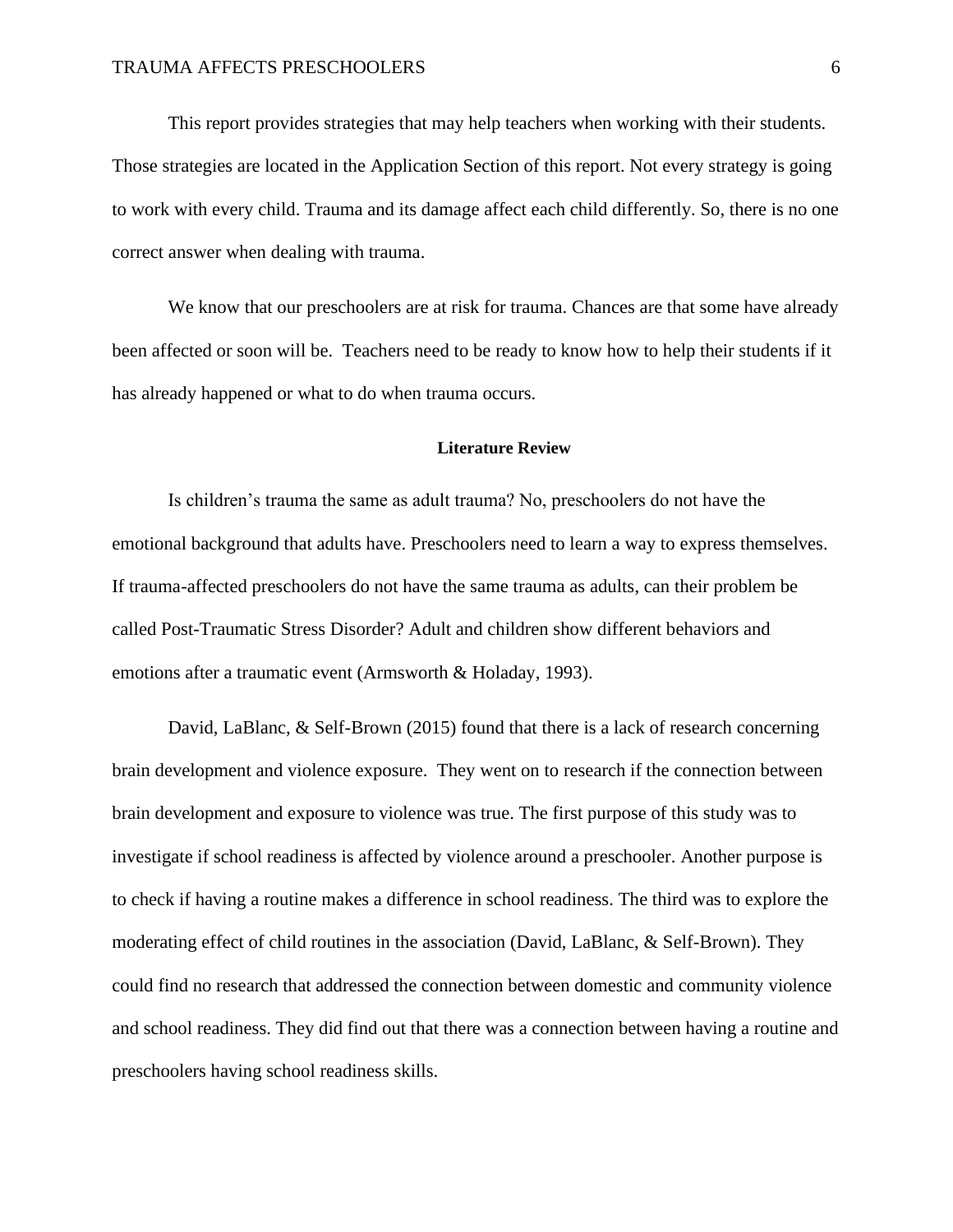This report provides strategies that may help teachers when working with their students. Those strategies are located in the Application Section of this report. Not every strategy is going to work with every child. Trauma and its damage affect each child differently. So, there is no one correct answer when dealing with trauma.

We know that our preschoolers are at risk for trauma. Chances are that some have already been affected or soon will be. Teachers need to be ready to know how to help their students if it has already happened or what to do when trauma occurs.

#### <span id="page-6-0"></span>**Literature Review**

Is children's trauma the same as adult trauma? No, preschoolers do not have the emotional background that adults have. Preschoolers need to learn a way to express themselves. If trauma-affected preschoolers do not have the same trauma as adults, can their problem be called Post-Traumatic Stress Disorder? Adult and children show different behaviors and emotions after a traumatic event (Armsworth & Holaday, 1993).

David, LaBlanc, & Self-Brown (2015) found that there is a lack of research concerning brain development and violence exposure. They went on to research if the connection between brain development and exposure to violence was true. The first purpose of this study was to investigate if school readiness is affected by violence around a preschooler. Another purpose is to check if having a routine makes a difference in school readiness. The third was to explore the moderating effect of child routines in the association (David, LaBlanc, & Self-Brown). They could find no research that addressed the connection between domestic and community violence and school readiness. They did find out that there was a connection between having a routine and preschoolers having school readiness skills.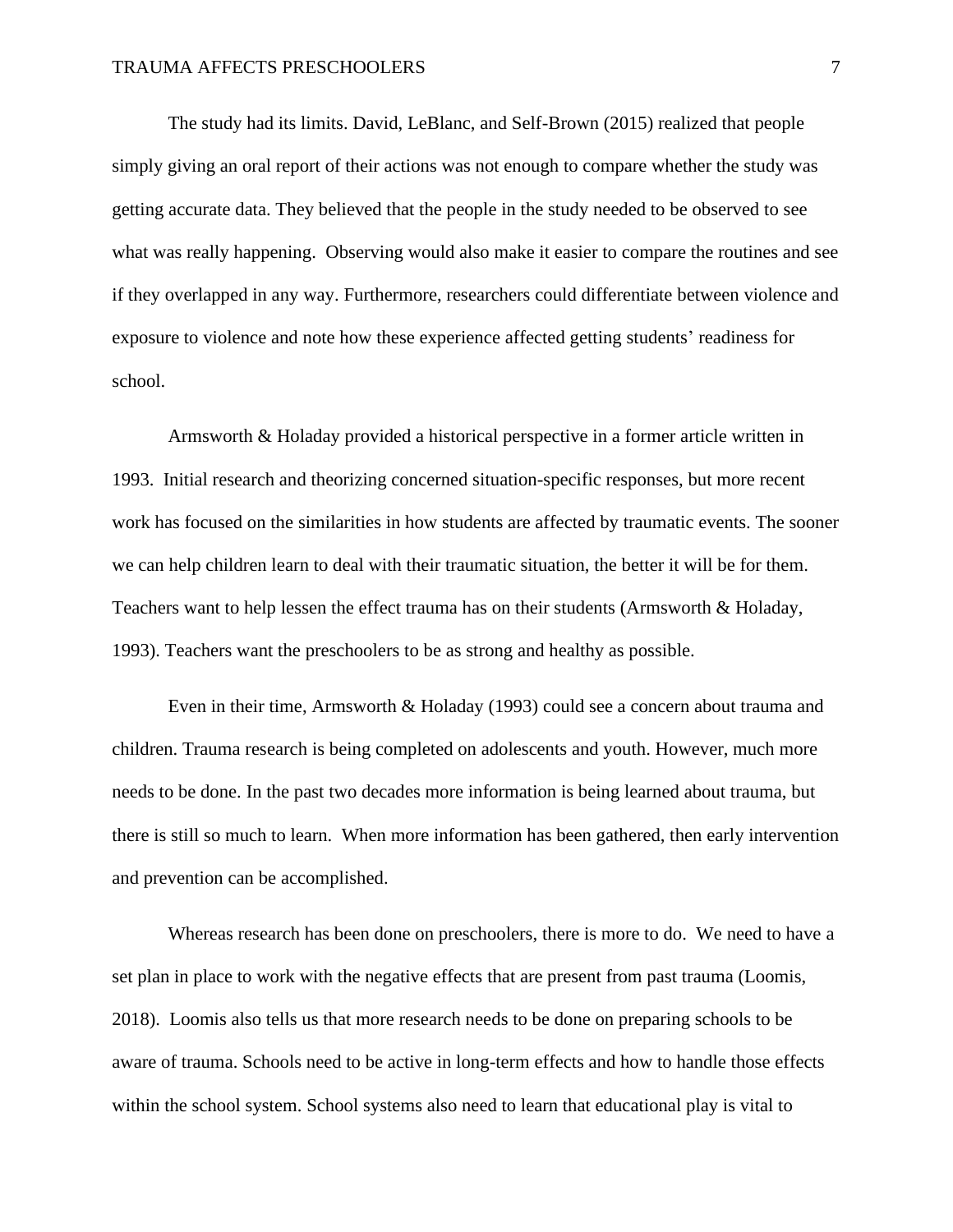The study had its limits. David, LeBlanc, and Self-Brown (2015) realized that people simply giving an oral report of their actions was not enough to compare whether the study was getting accurate data. They believed that the people in the study needed to be observed to see what was really happening. Observing would also make it easier to compare the routines and see if they overlapped in any way. Furthermore, researchers could differentiate between violence and exposure to violence and note how these experience affected getting students' readiness for school.

Armsworth & Holaday provided a historical perspective in a former article written in 1993. Initial research and theorizing concerned situation-specific responses, but more recent work has focused on the similarities in how students are affected by traumatic events. The sooner we can help children learn to deal with their traumatic situation, the better it will be for them. Teachers want to help lessen the effect trauma has on their students (Armsworth & Holaday, 1993). Teachers want the preschoolers to be as strong and healthy as possible.

Even in their time, Armsworth & Holaday (1993) could see a concern about trauma and children. Trauma research is being completed on adolescents and youth. However, much more needs to be done. In the past two decades more information is being learned about trauma, but there is still so much to learn. When more information has been gathered, then early intervention and prevention can be accomplished.

Whereas research has been done on preschoolers, there is more to do. We need to have a set plan in place to work with the negative effects that are present from past trauma (Loomis, 2018). Loomis also tells us that more research needs to be done on preparing schools to be aware of trauma. Schools need to be active in long-term effects and how to handle those effects within the school system. School systems also need to learn that educational play is vital to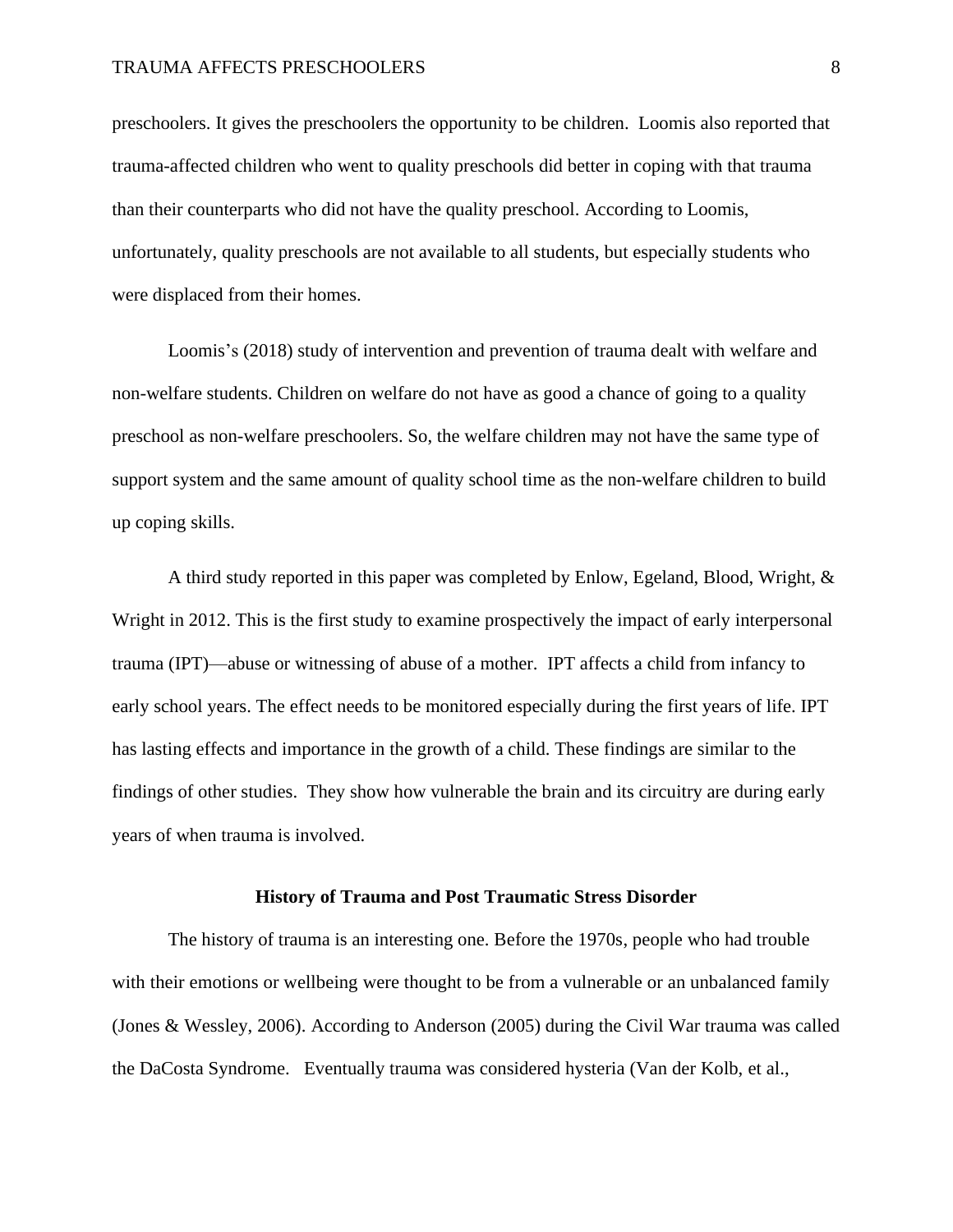preschoolers. It gives the preschoolers the opportunity to be children. Loomis also reported that trauma-affected children who went to quality preschools did better in coping with that trauma than their counterparts who did not have the quality preschool. According to Loomis, unfortunately, quality preschools are not available to all students, but especially students who were displaced from their homes.

Loomis's (2018) study of intervention and prevention of trauma dealt with welfare and non-welfare students. Children on welfare do not have as good a chance of going to a quality preschool as non-welfare preschoolers. So, the welfare children may not have the same type of support system and the same amount of quality school time as the non-welfare children to build up coping skills.

A third study reported in this paper was completed by Enlow, Egeland, Blood, Wright, & Wright in 2012. This is the first study to examine prospectively the impact of early interpersonal trauma (IPT)—abuse or witnessing of abuse of a mother. IPT affects a child from infancy to early school years. The effect needs to be monitored especially during the first years of life. IPT has lasting effects and importance in the growth of a child. These findings are similar to the findings of other studies. They show how vulnerable the brain and its circuitry are during early years of when trauma is involved.

#### **History of Trauma and Post Traumatic Stress Disorder**

<span id="page-8-0"></span>The history of trauma is an interesting one. Before the 1970s, people who had trouble with their emotions or wellbeing were thought to be from a vulnerable or an unbalanced family (Jones & Wessley, 2006). According to Anderson (2005) during the Civil War trauma was called the DaCosta Syndrome. Eventually trauma was considered hysteria (Van der Kolb, et al.,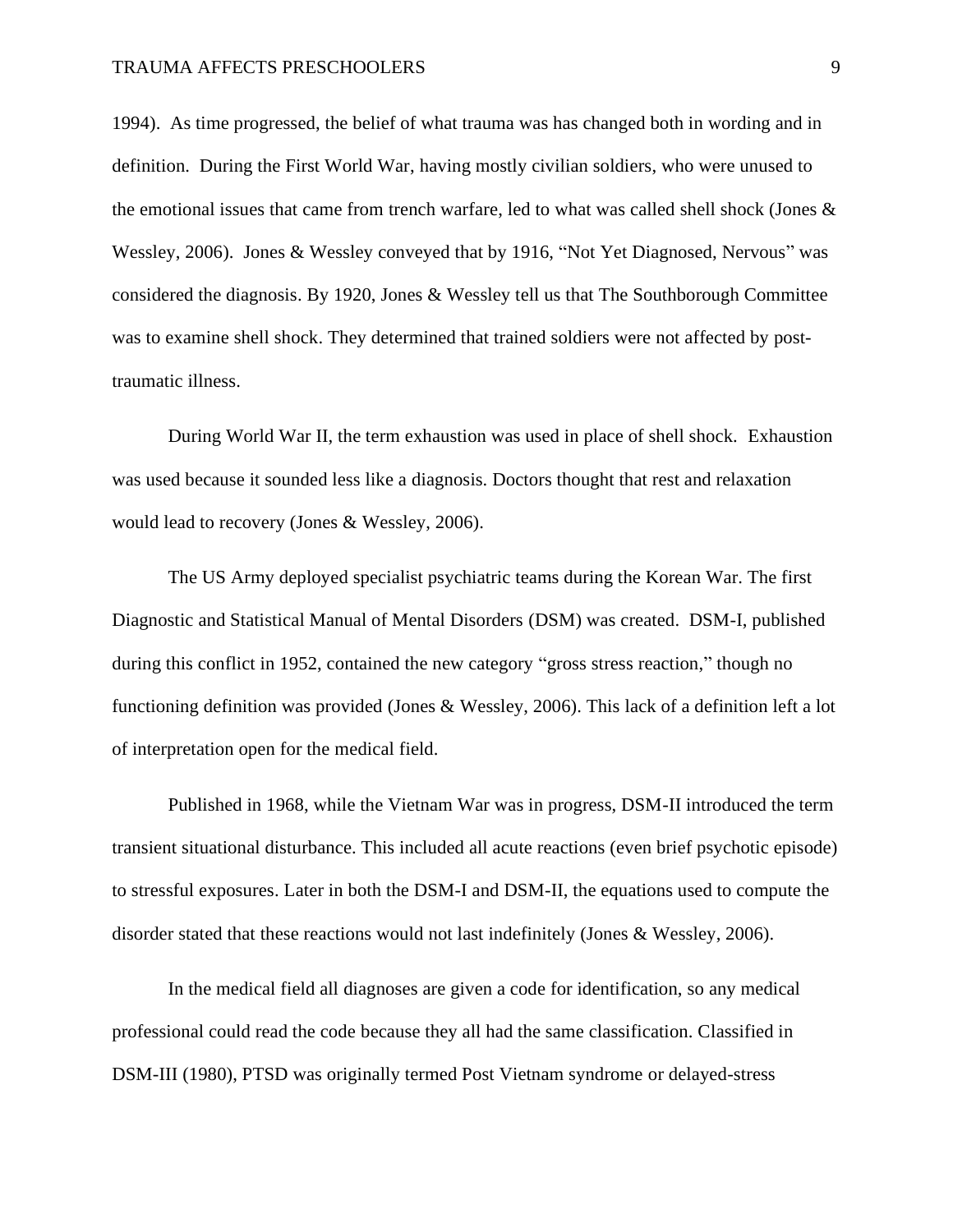1994). As time progressed, the belief of what trauma was has changed both in wording and in definition. During the First World War, having mostly civilian soldiers, who were unused to the emotional issues that came from trench warfare, led to what was called shell shock (Jones  $\&$ Wessley, 2006). Jones & Wessley conveyed that by 1916, "Not Yet Diagnosed, Nervous" was considered the diagnosis. By 1920, Jones & Wessley tell us that The Southborough Committee was to examine shell shock. They determined that trained soldiers were not affected by posttraumatic illness.

During World War II, the term exhaustion was used in place of shell shock. Exhaustion was used because it sounded less like a diagnosis. Doctors thought that rest and relaxation would lead to recovery (Jones & Wessley, 2006).

The US Army deployed specialist psychiatric teams during the Korean War. The first Diagnostic and Statistical Manual of Mental Disorders (DSM) was created. DSM-I, published during this conflict in 1952, contained the new category "gross stress reaction," though no functioning definition was provided (Jones & Wessley, 2006). This lack of a definition left a lot of interpretation open for the medical field.

Published in 1968, while the Vietnam War was in progress, DSM-II introduced the term transient situational disturbance. This included all acute reactions (even brief psychotic episode) to stressful exposures. Later in both the DSM-I and DSM-II, the equations used to compute the disorder stated that these reactions would not last indefinitely (Jones & Wessley, 2006).

In the medical field all diagnoses are given a code for identification, so any medical professional could read the code because they all had the same classification. Classified in DSM-III (1980), PTSD was originally termed Post Vietnam syndrome or delayed-stress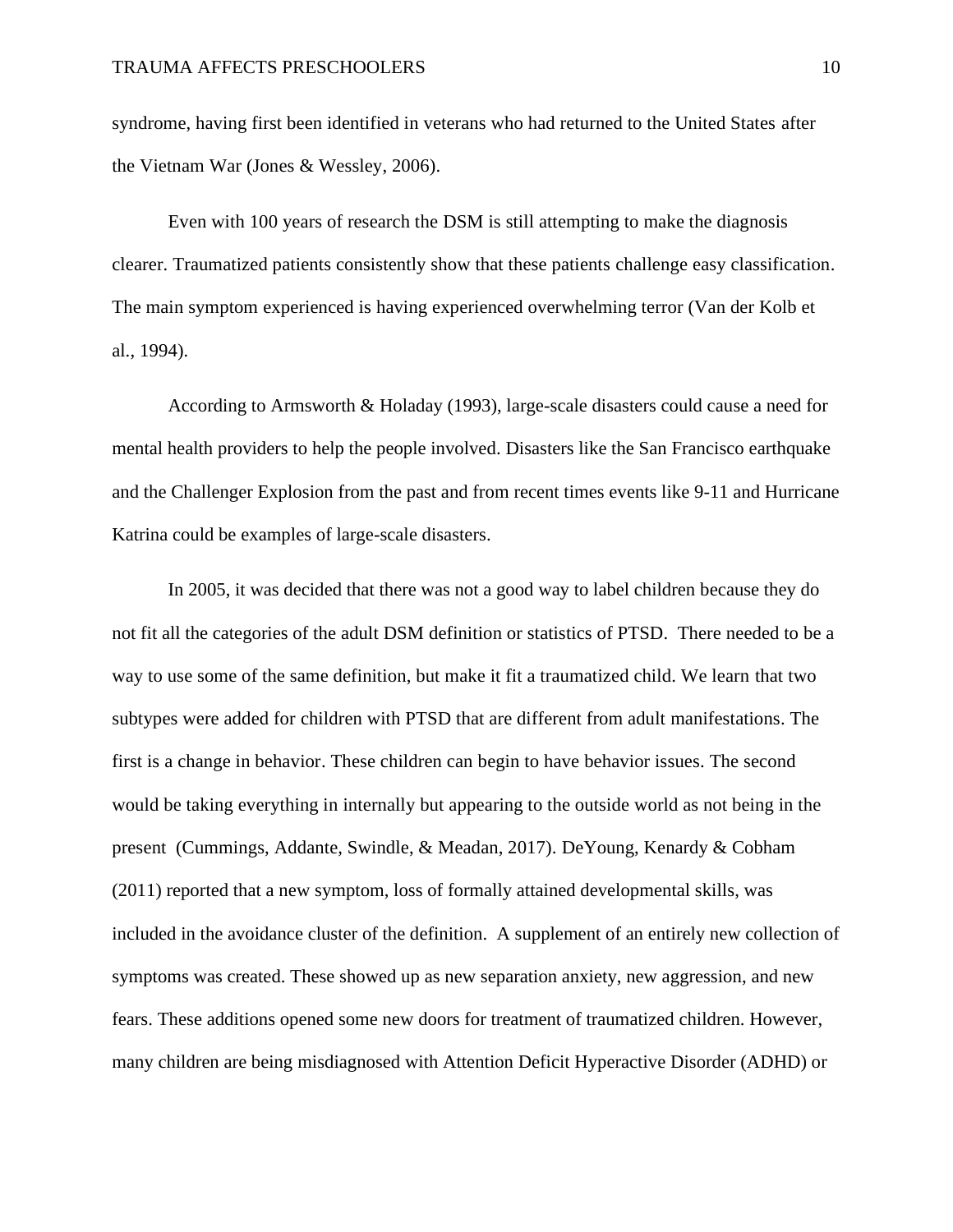syndrome, having first been identified in veterans who had returned to the United States after the Vietnam War (Jones & Wessley, 2006).

Even with 100 years of research the DSM is still attempting to make the diagnosis clearer. Traumatized patients consistently show that these patients challenge easy classification. The main symptom experienced is having experienced overwhelming terror (Van der Kolb et al., 1994).

According to Armsworth & Holaday (1993), large-scale disasters could cause a need for mental health providers to help the people involved. Disasters like the San Francisco earthquake and the Challenger Explosion from the past and from recent times events like 9-11 and Hurricane Katrina could be examples of large-scale disasters.

In 2005, it was decided that there was not a good way to label children because they do not fit all the categories of the adult DSM definition or statistics of PTSD. There needed to be a way to use some of the same definition, but make it fit a traumatized child. We learn that two subtypes were added for children with PTSD that are different from adult manifestations. The first is a change in behavior. These children can begin to have behavior issues. The second would be taking everything in internally but appearing to the outside world as not being in the present (Cummings, Addante, Swindle, & Meadan, 2017). DeYoung, Kenardy & Cobham (2011) reported that a new symptom, loss of formally attained developmental skills, was included in the avoidance cluster of the definition. A supplement of an entirely new collection of symptoms was created. These showed up as new separation anxiety, new aggression, and new fears. These additions opened some new doors for treatment of traumatized children. However, many children are being misdiagnosed with Attention Deficit Hyperactive Disorder (ADHD) or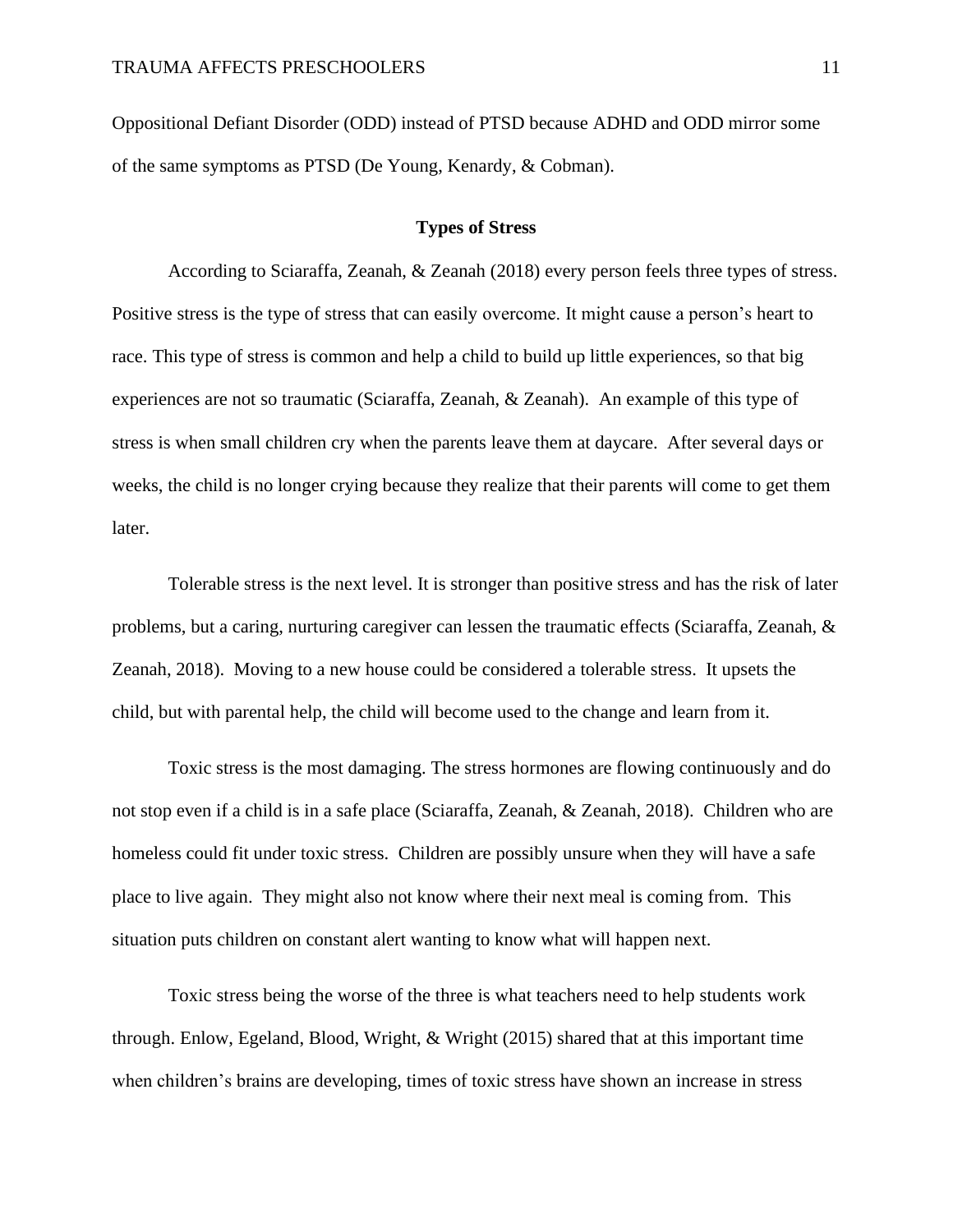Oppositional Defiant Disorder (ODD) instead of PTSD because ADHD and ODD mirror some of the same symptoms as PTSD (De Young, Kenardy, & Cobman).

## **Types of Stress**

<span id="page-11-0"></span>According to Sciaraffa, Zeanah, & Zeanah (2018) every person feels three types of stress. Positive stress is the type of stress that can easily overcome. It might cause a person's heart to race. This type of stress is common and help a child to build up little experiences, so that big experiences are not so traumatic (Sciaraffa, Zeanah, & Zeanah). An example of this type of stress is when small children cry when the parents leave them at daycare. After several days or weeks, the child is no longer crying because they realize that their parents will come to get them later.

Tolerable stress is the next level. It is stronger than positive stress and has the risk of later problems, but a caring, nurturing caregiver can lessen the traumatic effects (Sciaraffa, Zeanah, & Zeanah, 2018). Moving to a new house could be considered a tolerable stress. It upsets the child, but with parental help, the child will become used to the change and learn from it.

Toxic stress is the most damaging. The stress hormones are flowing continuously and do not stop even if a child is in a safe place (Sciaraffa, Zeanah, & Zeanah, 2018). Children who are homeless could fit under toxic stress. Children are possibly unsure when they will have a safe place to live again. They might also not know where their next meal is coming from. This situation puts children on constant alert wanting to know what will happen next.

Toxic stress being the worse of the three is what teachers need to help students work through. Enlow, Egeland, Blood, Wright, & Wright (2015) shared that at this important time when children's brains are developing, times of toxic stress have shown an increase in stress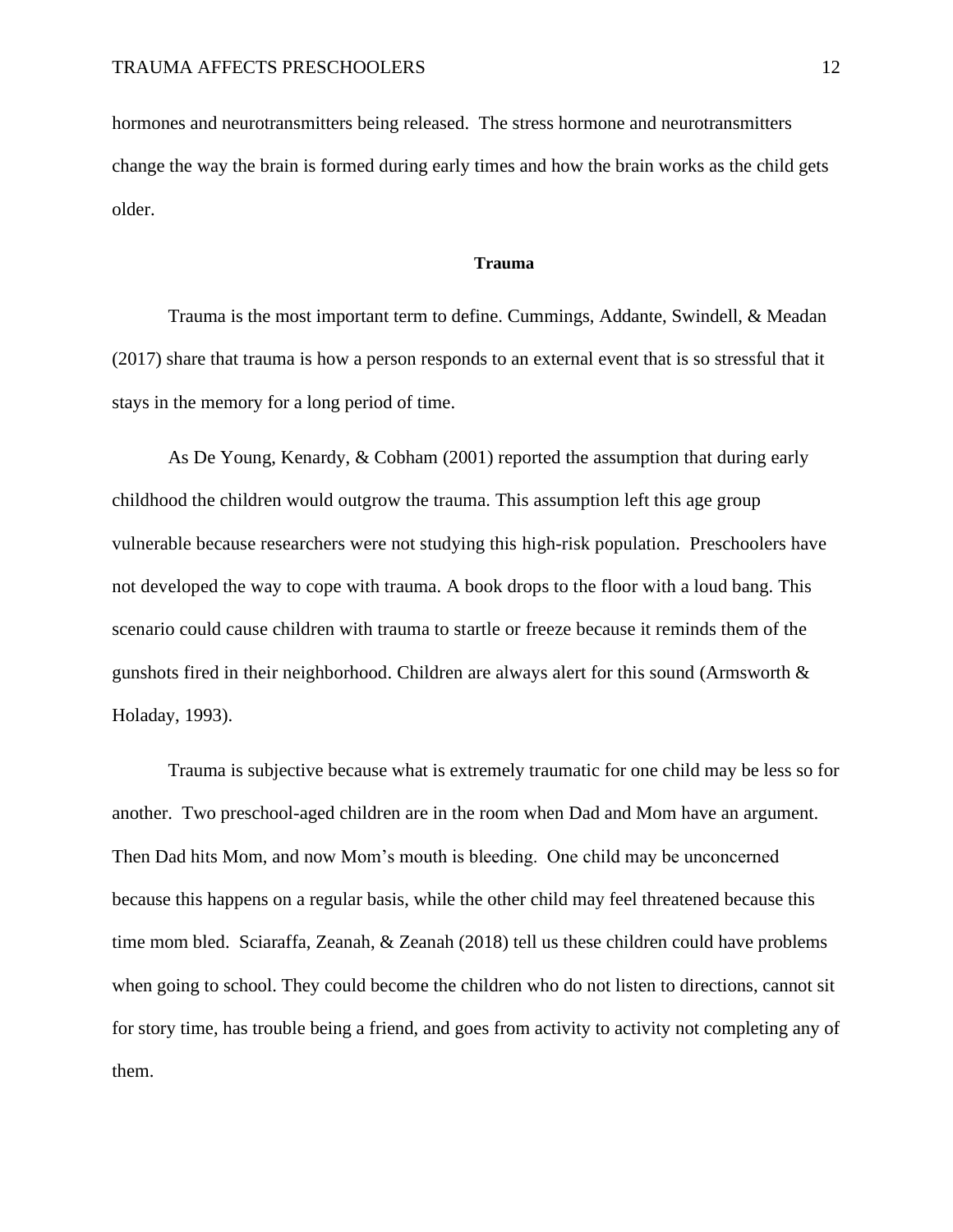<span id="page-12-0"></span>hormones and neurotransmitters being released. The stress hormone and neurotransmitters change the way the brain is formed during early times and how the brain works as the child gets older.

#### **Trauma**

Trauma is the most important term to define. Cummings, Addante, Swindell, & Meadan (2017) share that trauma is how a person responds to an external event that is so stressful that it stays in the memory for a long period of time.

As De Young, Kenardy, & Cobham (2001) reported the assumption that during early childhood the children would outgrow the trauma. This assumption left this age group vulnerable because researchers were not studying this high-risk population. Preschoolers have not developed the way to cope with trauma. A book drops to the floor with a loud bang. This scenario could cause children with trauma to startle or freeze because it reminds them of the gunshots fired in their neighborhood. Children are always alert for this sound (Armsworth & Holaday, 1993).

Trauma is subjective because what is extremely traumatic for one child may be less so for another. Two preschool-aged children are in the room when Dad and Mom have an argument. Then Dad hits Mom, and now Mom's mouth is bleeding. One child may be unconcerned because this happens on a regular basis, while the other child may feel threatened because this time mom bled. Sciaraffa, Zeanah, & Zeanah (2018) tell us these children could have problems when going to school. They could become the children who do not listen to directions, cannot sit for story time, has trouble being a friend, and goes from activity to activity not completing any of them.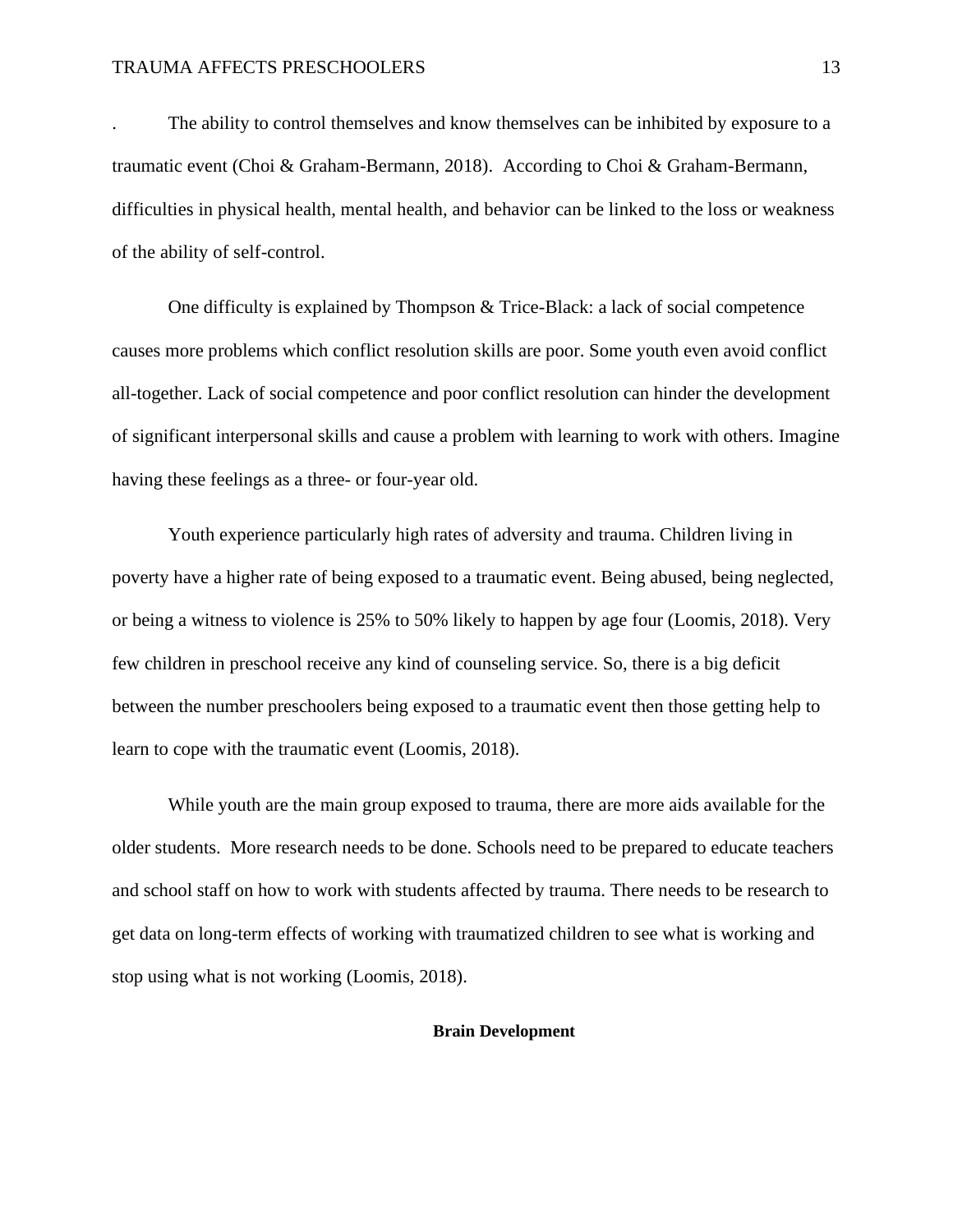The ability to control themselves and know themselves can be inhibited by exposure to a traumatic event (Choi & Graham-Bermann, 2018). According to Choi & Graham-Bermann, difficulties in physical health, mental health, and behavior can be linked to the loss or weakness of the ability of self-control.

One difficulty is explained by Thompson & Trice-Black: a lack of social competence causes more problems which conflict resolution skills are poor. Some youth even avoid conflict all-together. Lack of social competence and poor conflict resolution can hinder the development of significant interpersonal skills and cause a problem with learning to work with others. Imagine having these feelings as a three- or four-year old.

Youth experience particularly high rates of adversity and trauma. Children living in poverty have a higher rate of being exposed to a traumatic event. Being abused, being neglected, or being a witness to violence is 25% to 50% likely to happen by age four (Loomis, 2018). Very few children in preschool receive any kind of counseling service. So, there is a big deficit between the number preschoolers being exposed to a traumatic event then those getting help to learn to cope with the traumatic event (Loomis, 2018).

While youth are the main group exposed to trauma, there are more aids available for the older students. More research needs to be done. Schools need to be prepared to educate teachers and school staff on how to work with students affected by trauma. There needs to be research to get data on long-term effects of working with traumatized children to see what is working and stop using what is not working (Loomis, 2018).

#### <span id="page-13-0"></span>**Brain Development**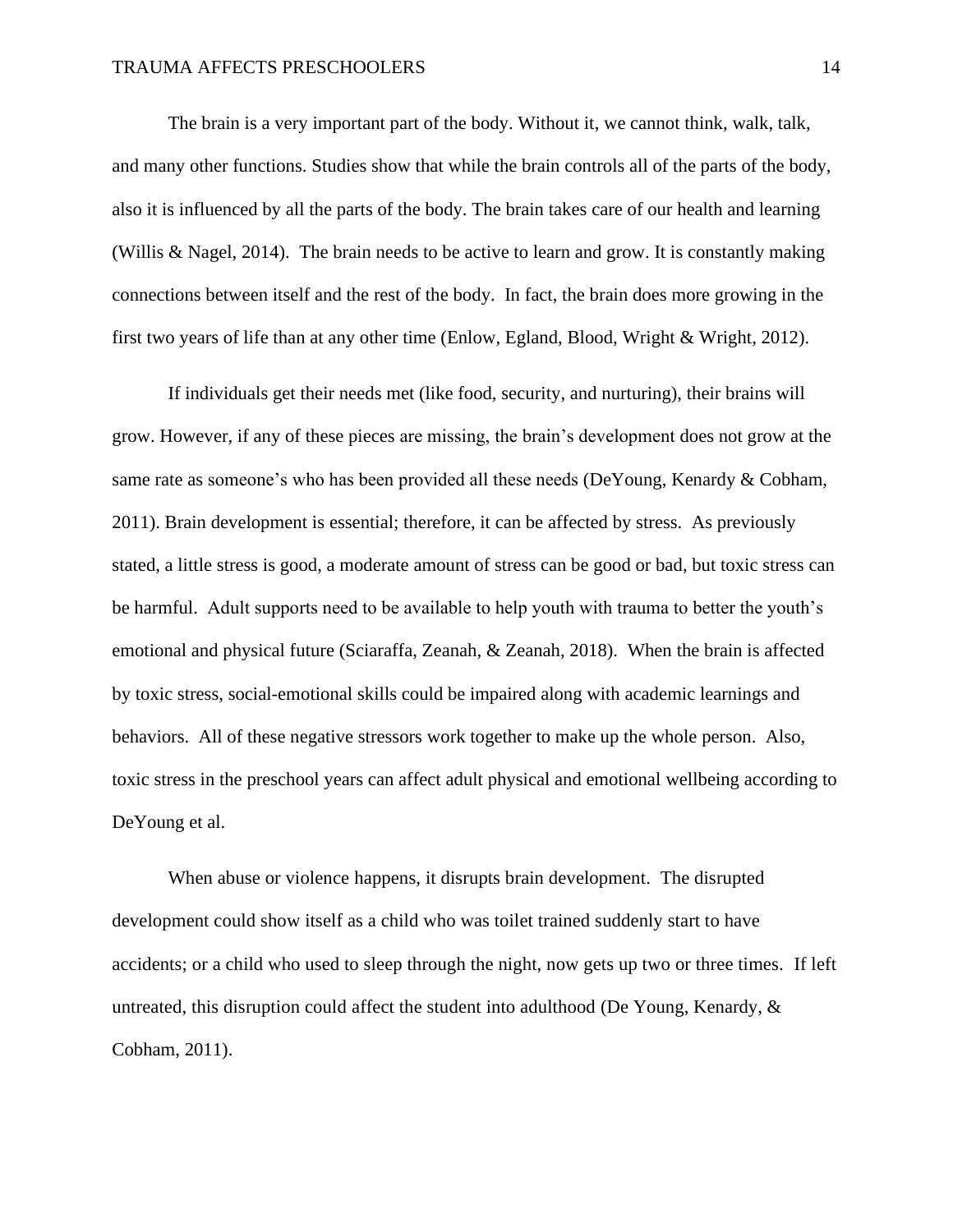The brain is a very important part of the body. Without it, we cannot think, walk, talk, and many other functions. Studies show that while the brain controls all of the parts of the body, also it is influenced by all the parts of the body. The brain takes care of our health and learning (Willis & Nagel, 2014). The brain needs to be active to learn and grow. It is constantly making connections between itself and the rest of the body. In fact, the brain does more growing in the first two years of life than at any other time (Enlow, Egland, Blood, Wright & Wright, 2012).

If individuals get their needs met (like food, security, and nurturing), their brains will grow. However, if any of these pieces are missing, the brain's development does not grow at the same rate as someone's who has been provided all these needs (DeYoung, Kenardy & Cobham, 2011). Brain development is essential; therefore, it can be affected by stress. As previously stated, a little stress is good, a moderate amount of stress can be good or bad, but toxic stress can be harmful. Adult supports need to be available to help youth with trauma to better the youth's emotional and physical future (Sciaraffa, Zeanah, & Zeanah, 2018). When the brain is affected by toxic stress, social-emotional skills could be impaired along with academic learnings and behaviors. All of these negative stressors work together to make up the whole person. Also, toxic stress in the preschool years can affect adult physical and emotional wellbeing according to DeYoung et al.

When abuse or violence happens, it disrupts brain development. The disrupted development could show itself as a child who was toilet trained suddenly start to have accidents; or a child who used to sleep through the night, now gets up two or three times. If left untreated, this disruption could affect the student into adulthood (De Young, Kenardy,  $\&$ Cobham, 2011).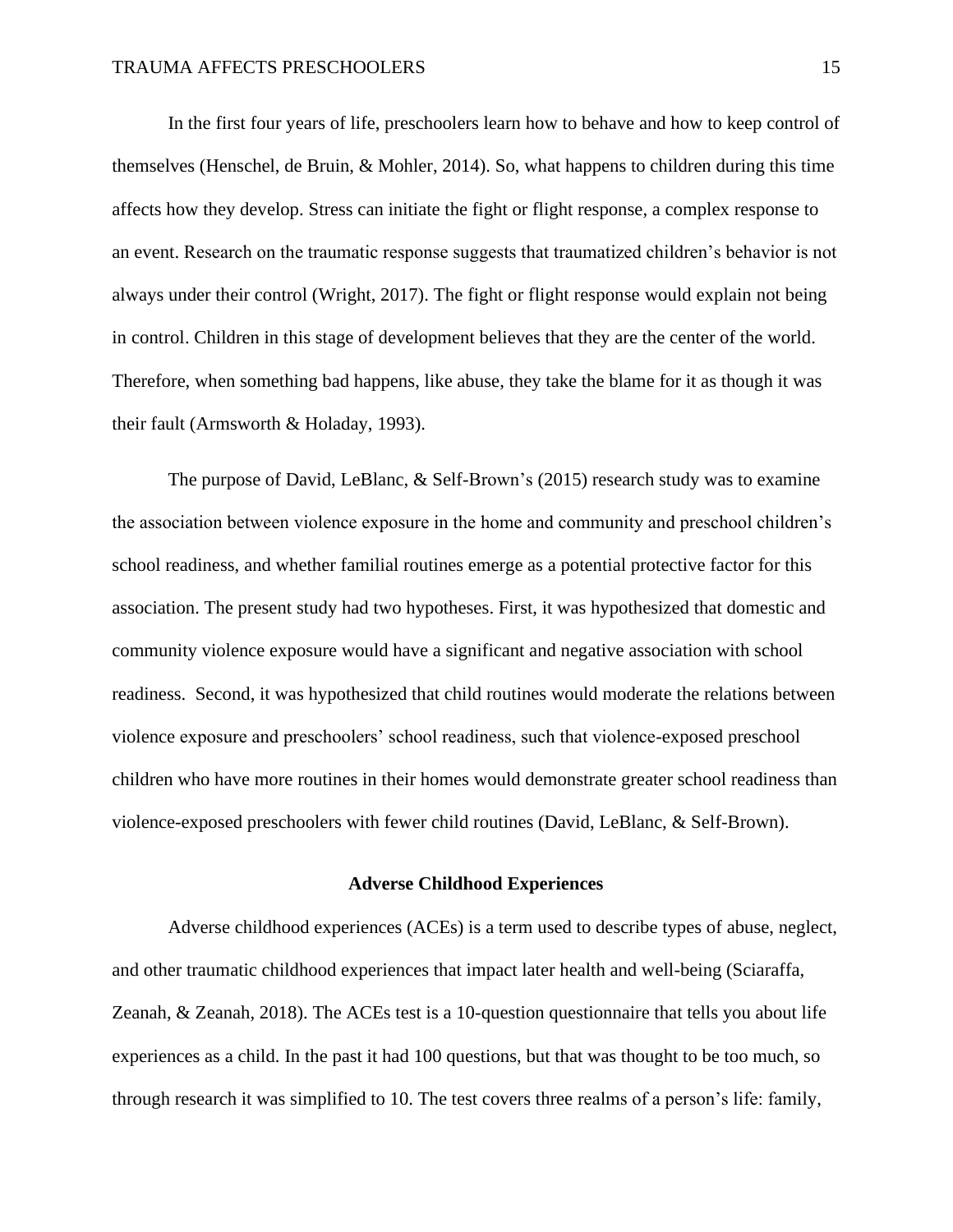In the first four years of life, preschoolers learn how to behave and how to keep control of themselves (Henschel, de Bruin, & Mohler, 2014). So, what happens to children during this time affects how they develop. Stress can initiate the fight or flight response, a complex response to an event. Research on the traumatic response suggests that traumatized children's behavior is not always under their control (Wright, 2017). The fight or flight response would explain not being in control. Children in this stage of development believes that they are the center of the world. Therefore, when something bad happens, like abuse, they take the blame for it as though it was their fault (Armsworth & Holaday, 1993).

The purpose of David, LeBlanc, & Self-Brown's (2015) research study was to examine the association between violence exposure in the home and community and preschool children's school readiness, and whether familial routines emerge as a potential protective factor for this association. The present study had two hypotheses. First, it was hypothesized that domestic and community violence exposure would have a significant and negative association with school readiness. Second, it was hypothesized that child routines would moderate the relations between violence exposure and preschoolers' school readiness, such that violence-exposed preschool children who have more routines in their homes would demonstrate greater school readiness than violence-exposed preschoolers with fewer child routines (David, LeBlanc, & Self-Brown).

#### **Adverse Childhood Experiences**

<span id="page-15-0"></span>Adverse childhood experiences (ACEs) is a term used to describe types of abuse, neglect, and other traumatic childhood experiences that impact later health and well-being (Sciaraffa, Zeanah, & Zeanah, 2018). The ACEs test is a 10-question questionnaire that tells you about life experiences as a child. In the past it had 100 questions, but that was thought to be too much, so through research it was simplified to 10. The test covers three realms of a person's life: family,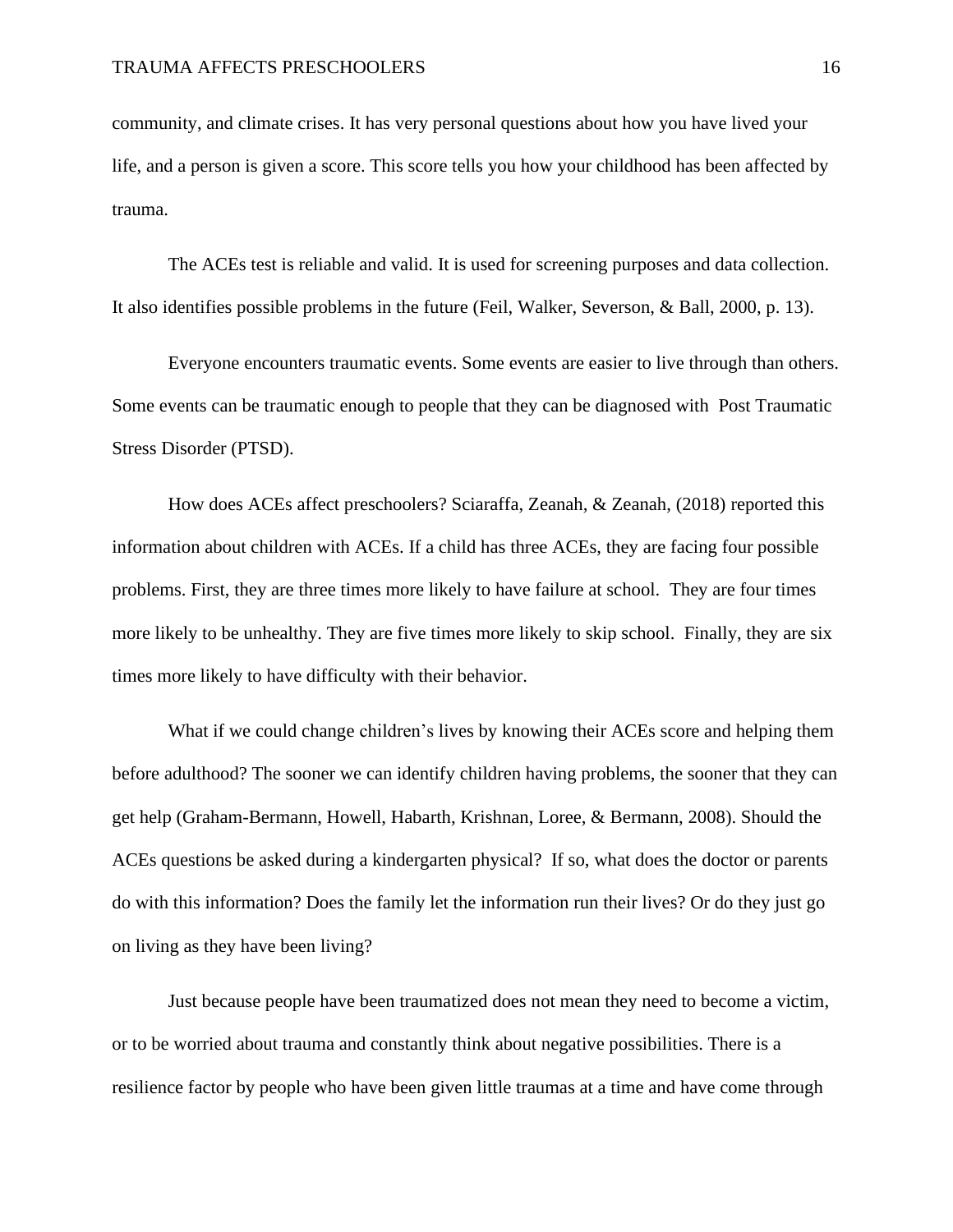community, and climate crises. It has very personal questions about how you have lived your life, and a person is given a score. This score tells you how your childhood has been affected by trauma.

The ACEs test is reliable and valid. It is used for screening purposes and data collection. It also identifies possible problems in the future (Feil, Walker, Severson, & Ball, 2000, p. 13).

Everyone encounters traumatic events. Some events are easier to live through than others. Some events can be traumatic enough to people that they can be diagnosed with Post Traumatic Stress Disorder (PTSD).

How does ACEs affect preschoolers? Sciaraffa, Zeanah, & Zeanah, (2018) reported this information about children with ACEs. If a child has three ACEs, they are facing four possible problems. First, they are three times more likely to have failure at school. They are four times more likely to be unhealthy. They are five times more likely to skip school. Finally, they are six times more likely to have difficulty with their behavior.

What if we could change children's lives by knowing their ACEs score and helping them before adulthood? The sooner we can identify children having problems, the sooner that they can get help (Graham-Bermann, Howell, Habarth, Krishnan, Loree, & Bermann, 2008). Should the ACEs questions be asked during a kindergarten physical? If so, what does the doctor or parents do with this information? Does the family let the information run their lives? Or do they just go on living as they have been living?

Just because people have been traumatized does not mean they need to become a victim, or to be worried about trauma and constantly think about negative possibilities. There is a resilience factor by people who have been given little traumas at a time and have come through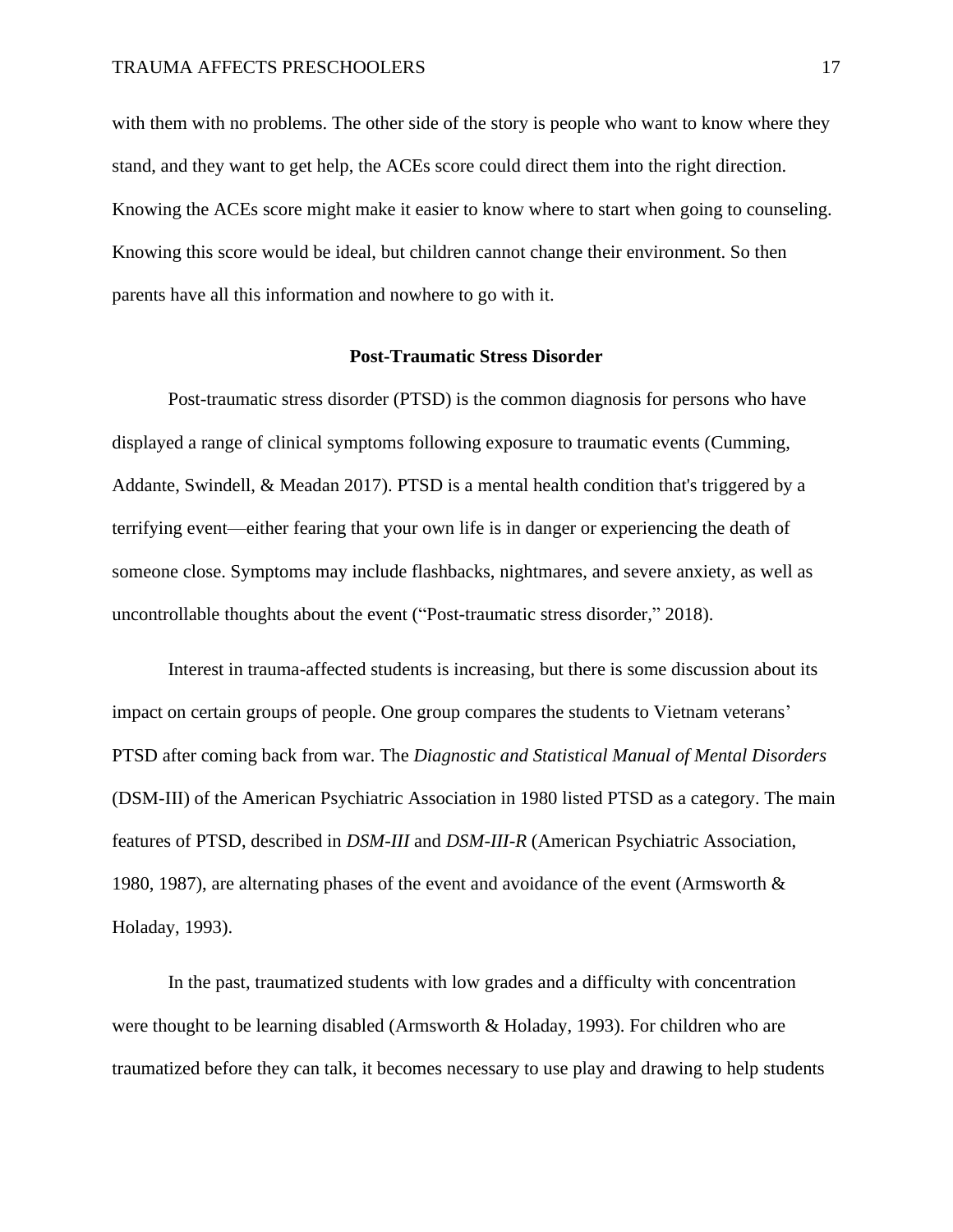with them with no problems. The other side of the story is people who want to know where they stand, and they want to get help, the ACEs score could direct them into the right direction. Knowing the ACEs score might make it easier to know where to start when going to counseling. Knowing this score would be ideal, but children cannot change their environment. So then parents have all this information and nowhere to go with it.

#### **Post-Traumatic Stress Disorder**

<span id="page-17-0"></span>Post-traumatic stress disorder (PTSD) is the common diagnosis for persons who have displayed a range of clinical symptoms following exposure to traumatic events (Cumming, Addante, Swindell, & Meadan 2017). PTSD is a mental health condition that's triggered by a terrifying event—either fearing that your own life is in danger or experiencing the death of someone close. Symptoms may include flashbacks, nightmares, and severe anxiety, as well as uncontrollable thoughts about the event ("Post-traumatic stress disorder," 2018).

Interest in trauma-affected students is increasing, but there is some discussion about its impact on certain groups of people. One group compares the students to Vietnam veterans' PTSD after coming back from war. The *Diagnostic and Statistical Manual of Mental Disorders* (DSM-III) of the American Psychiatric Association in 1980 listed PTSD as a category. The main features of PTSD, described in *DSM-III* and *DSM-III-R* (American Psychiatric Association, 1980, 1987), are alternating phases of the event and avoidance of the event (Armsworth  $\&$ Holaday, 1993).

In the past, traumatized students with low grades and a difficulty with concentration were thought to be learning disabled (Armsworth & Holaday, 1993). For children who are traumatized before they can talk, it becomes necessary to use play and drawing to help students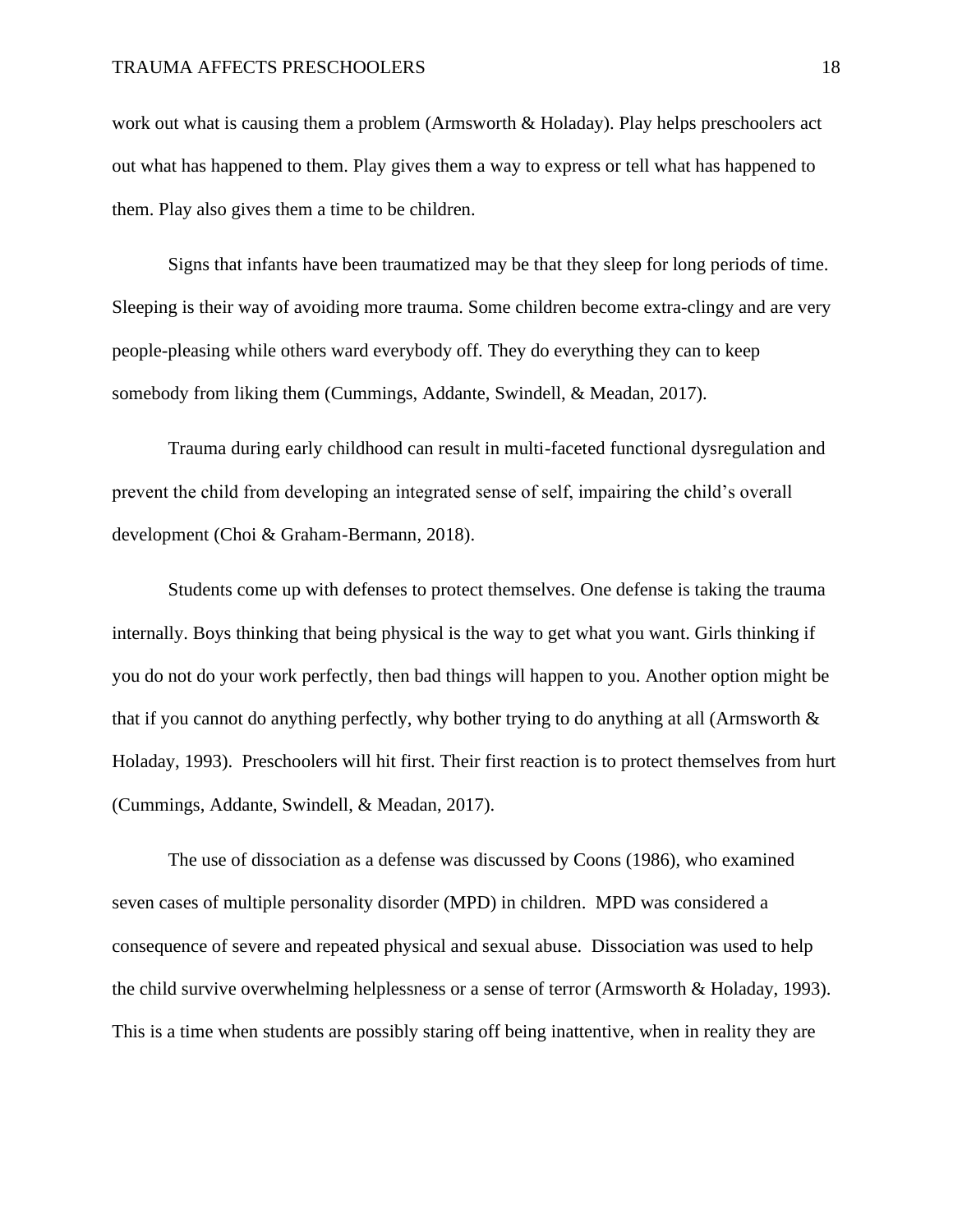work out what is causing them a problem (Armsworth & Holaday). Play helps preschoolers act out what has happened to them. Play gives them a way to express or tell what has happened to them. Play also gives them a time to be children.

Signs that infants have been traumatized may be that they sleep for long periods of time. Sleeping is their way of avoiding more trauma. Some children become extra-clingy and are very people-pleasing while others ward everybody off. They do everything they can to keep somebody from liking them (Cummings, Addante, Swindell, & Meadan, 2017).

Trauma during early childhood can result in multi-faceted functional dysregulation and prevent the child from developing an integrated sense of self, impairing the child's overall development (Choi & Graham-Bermann, 2018).

Students come up with defenses to protect themselves. One defense is taking the trauma internally. Boys thinking that being physical is the way to get what you want. Girls thinking if you do not do your work perfectly, then bad things will happen to you. Another option might be that if you cannot do anything perfectly, why bother trying to do anything at all (Armsworth & Holaday, 1993). Preschoolers will hit first. Their first reaction is to protect themselves from hurt (Cummings, Addante, Swindell, & Meadan, 2017).

The use of dissociation as a defense was discussed by Coons (1986), who examined seven cases of multiple personality disorder (MPD) in children. MPD was considered a consequence of severe and repeated physical and sexual abuse. Dissociation was used to help the child survive overwhelming helplessness or a sense of terror (Armsworth & Holaday, 1993). This is a time when students are possibly staring off being inattentive, when in reality they are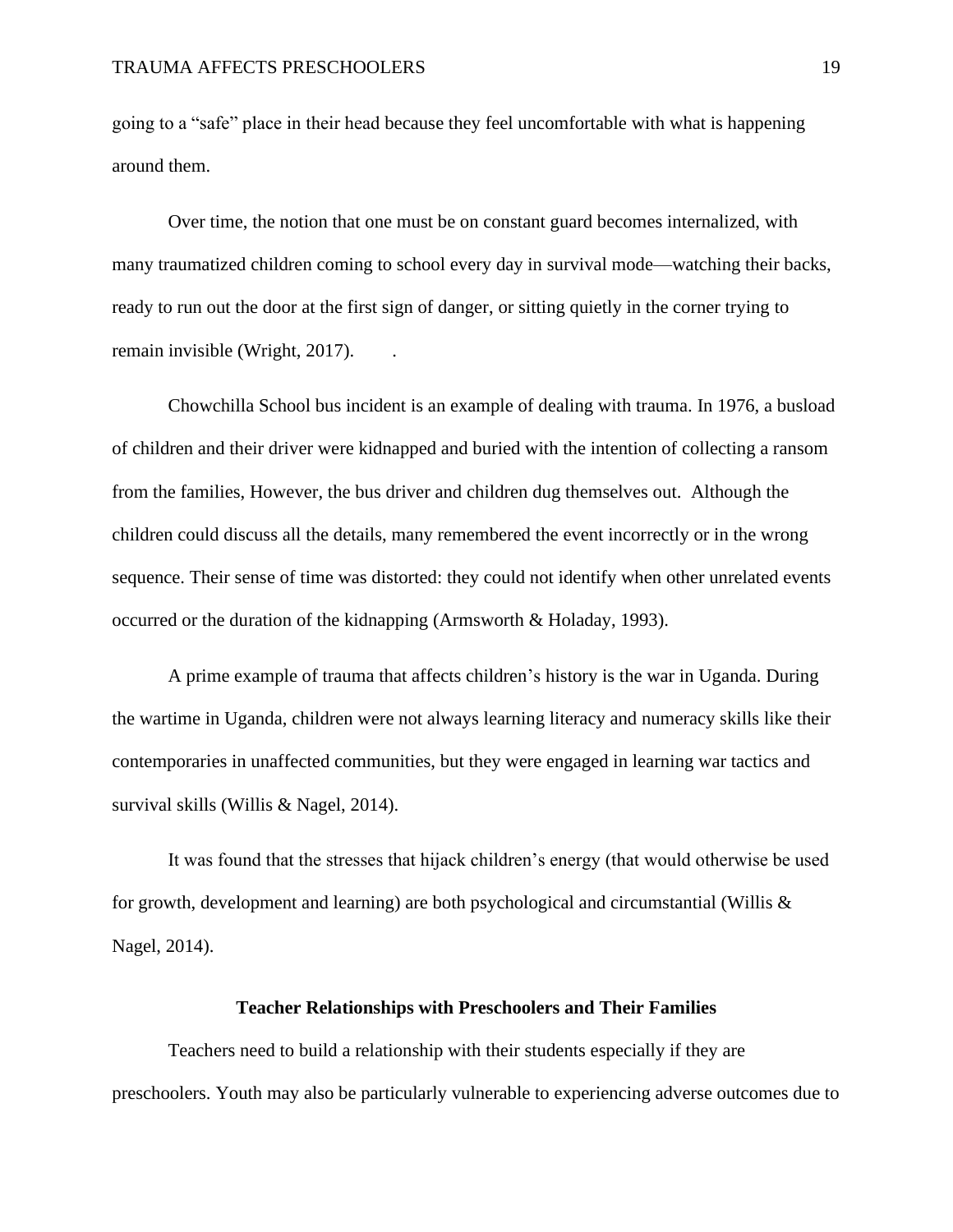going to a "safe" place in their head because they feel uncomfortable with what is happening around them.

Over time, the notion that one must be on constant guard becomes internalized, with many traumatized children coming to school every day in survival mode—watching their backs, ready to run out the door at the first sign of danger, or sitting quietly in the corner trying to remain invisible (Wright, 2017).

Chowchilla School bus incident is an example of dealing with trauma. In 1976, a busload of children and their driver were kidnapped and buried with the intention of collecting a ransom from the families, However, the bus driver and children dug themselves out. Although the children could discuss all the details, many remembered the event incorrectly or in the wrong sequence. Their sense of time was distorted: they could not identify when other unrelated events occurred or the duration of the kidnapping (Armsworth & Holaday, 1993).

A prime example of trauma that affects children's history is the war in Uganda. During the wartime in Uganda, children were not always learning literacy and numeracy skills like their contemporaries in unaffected communities, but they were engaged in learning war tactics and survival skills (Willis & Nagel, 2014).

It was found that the stresses that hijack children's energy (that would otherwise be used for growth, development and learning) are both psychological and circumstantial (Willis  $\&$ Nagel, 2014).

## **Teacher Relationships with Preschoolers and Their Families**

<span id="page-19-0"></span>Teachers need to build a relationship with their students especially if they are preschoolers. Youth may also be particularly vulnerable to experiencing adverse outcomes due to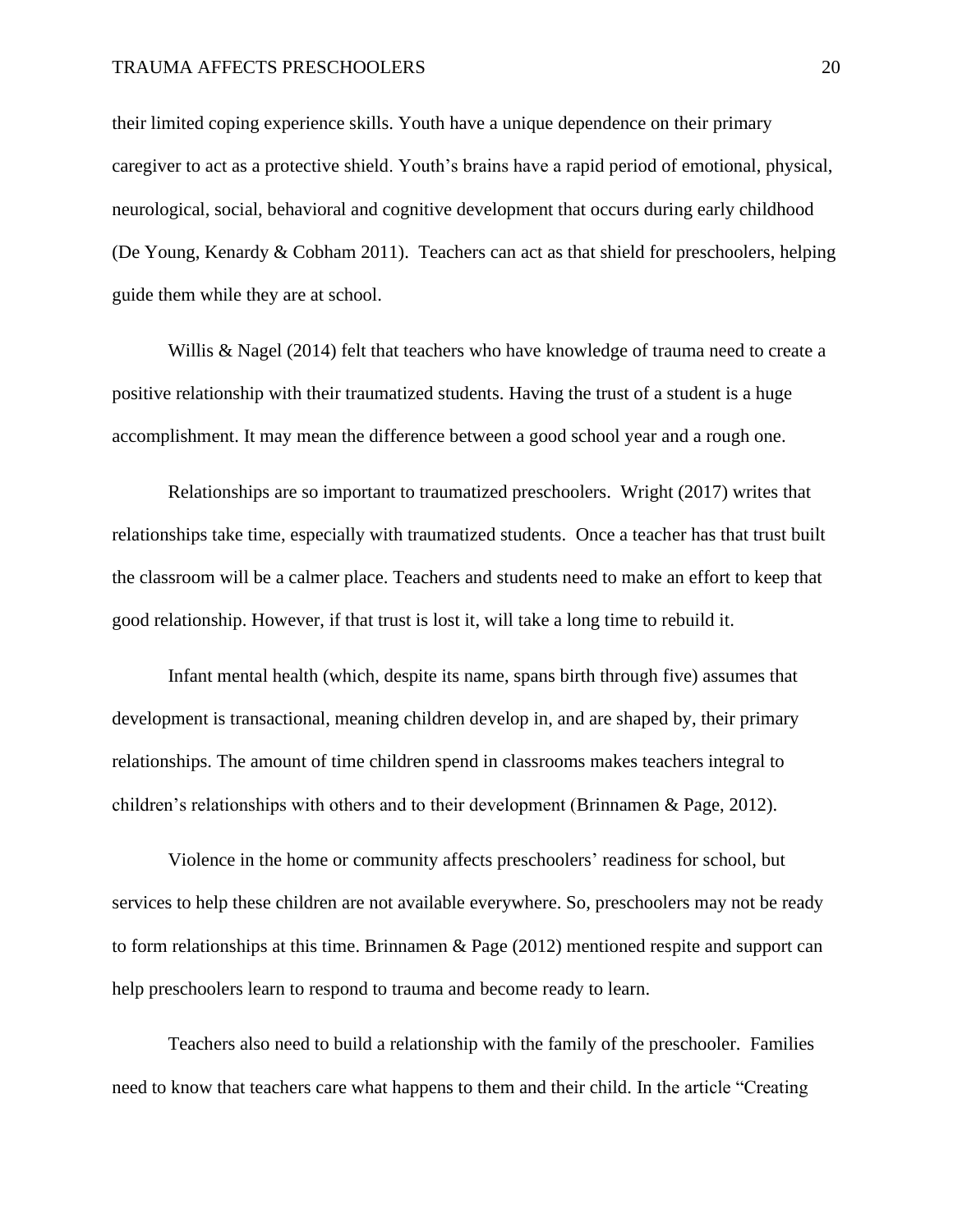their limited coping experience skills. Youth have a unique dependence on their primary caregiver to act as a protective shield. Youth's brains have a rapid period of emotional, physical, neurological, social, behavioral and cognitive development that occurs during early childhood (De Young, Kenardy & Cobham 2011). Teachers can act as that shield for preschoolers, helping guide them while they are at school.

Willis & Nagel (2014) felt that teachers who have knowledge of trauma need to create a positive relationship with their traumatized students. Having the trust of a student is a huge accomplishment. It may mean the difference between a good school year and a rough one.

Relationships are so important to traumatized preschoolers. Wright (2017) writes that relationships take time, especially with traumatized students. Once a teacher has that trust built the classroom will be a calmer place. Teachers and students need to make an effort to keep that good relationship. However, if that trust is lost it, will take a long time to rebuild it.

Infant mental health (which, despite its name, spans birth through five) assumes that development is transactional, meaning children develop in, and are shaped by, their primary relationships. The amount of time children spend in classrooms makes teachers integral to children's relationships with others and to their development (Brinnamen & Page, 2012).

Violence in the home or community affects preschoolers' readiness for school, but services to help these children are not available everywhere. So, preschoolers may not be ready to form relationships at this time. Brinnamen & Page (2012) mentioned respite and support can help preschoolers learn to respond to trauma and become ready to learn.

Teachers also need to build a relationship with the family of the preschooler. Families need to know that teachers care what happens to them and their child. In the article "Creating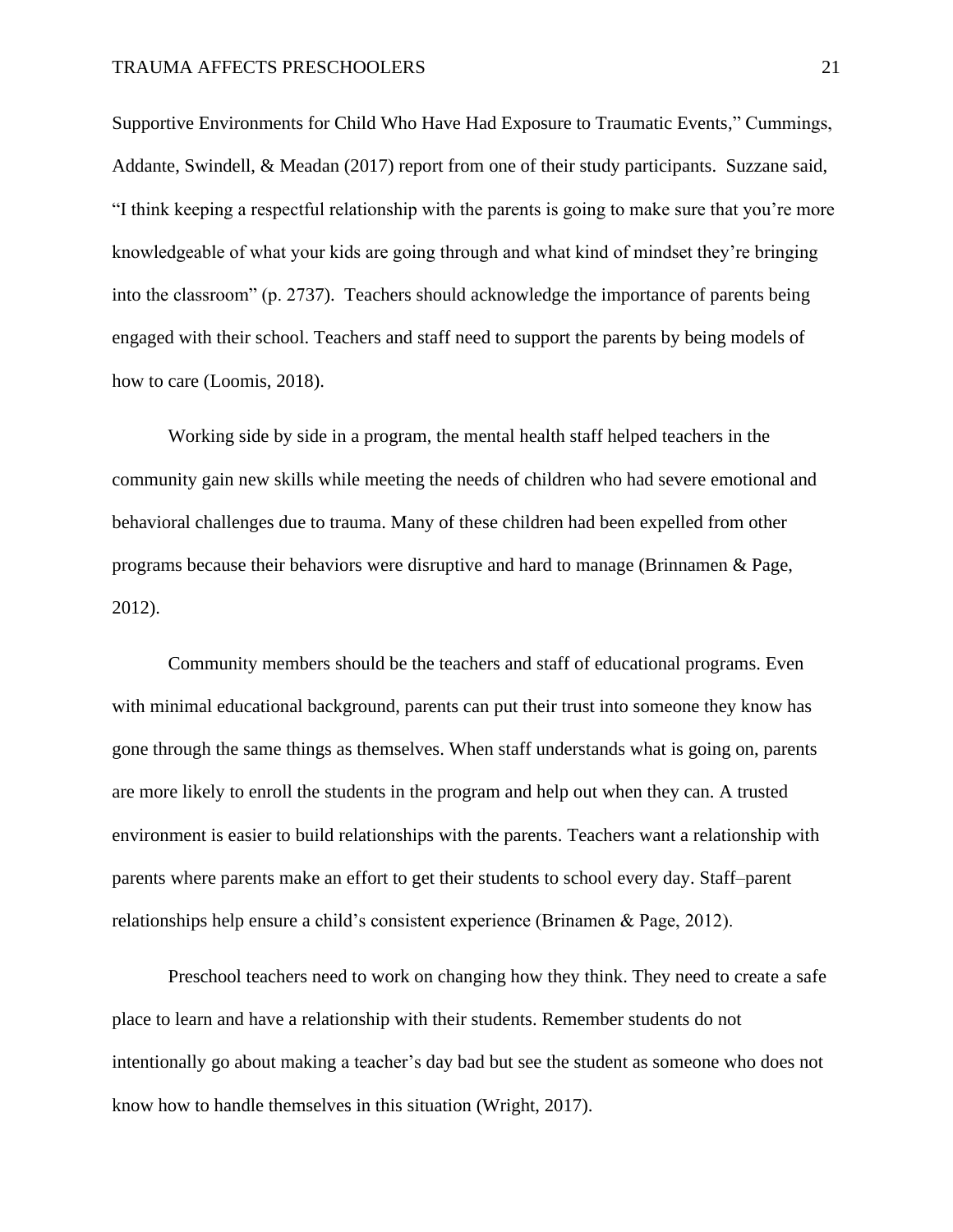Supportive Environments for Child Who Have Had Exposure to Traumatic Events," Cummings, Addante, Swindell, & Meadan (2017) report from one of their study participants. Suzzane said, "I think keeping a respectful relationship with the parents is going to make sure that you're more knowledgeable of what your kids are going through and what kind of mindset they're bringing into the classroom" (p. 2737). Teachers should acknowledge the importance of parents being engaged with their school. Teachers and staff need to support the parents by being models of how to care (Loomis, 2018).

Working side by side in a program, the mental health staff helped teachers in the community gain new skills while meeting the needs of children who had severe emotional and behavioral challenges due to trauma. Many of these children had been expelled from other programs because their behaviors were disruptive and hard to manage (Brinnamen & Page, 2012).

Community members should be the teachers and staff of educational programs. Even with minimal educational background, parents can put their trust into someone they know has gone through the same things as themselves. When staff understands what is going on, parents are more likely to enroll the students in the program and help out when they can. A trusted environment is easier to build relationships with the parents. Teachers want a relationship with parents where parents make an effort to get their students to school every day. Staff–parent relationships help ensure a child's consistent experience (Brinamen & Page, 2012).

Preschool teachers need to work on changing how they think. They need to create a safe place to learn and have a relationship with their students. Remember students do not intentionally go about making a teacher's day bad but see the student as someone who does not know how to handle themselves in this situation (Wright, 2017).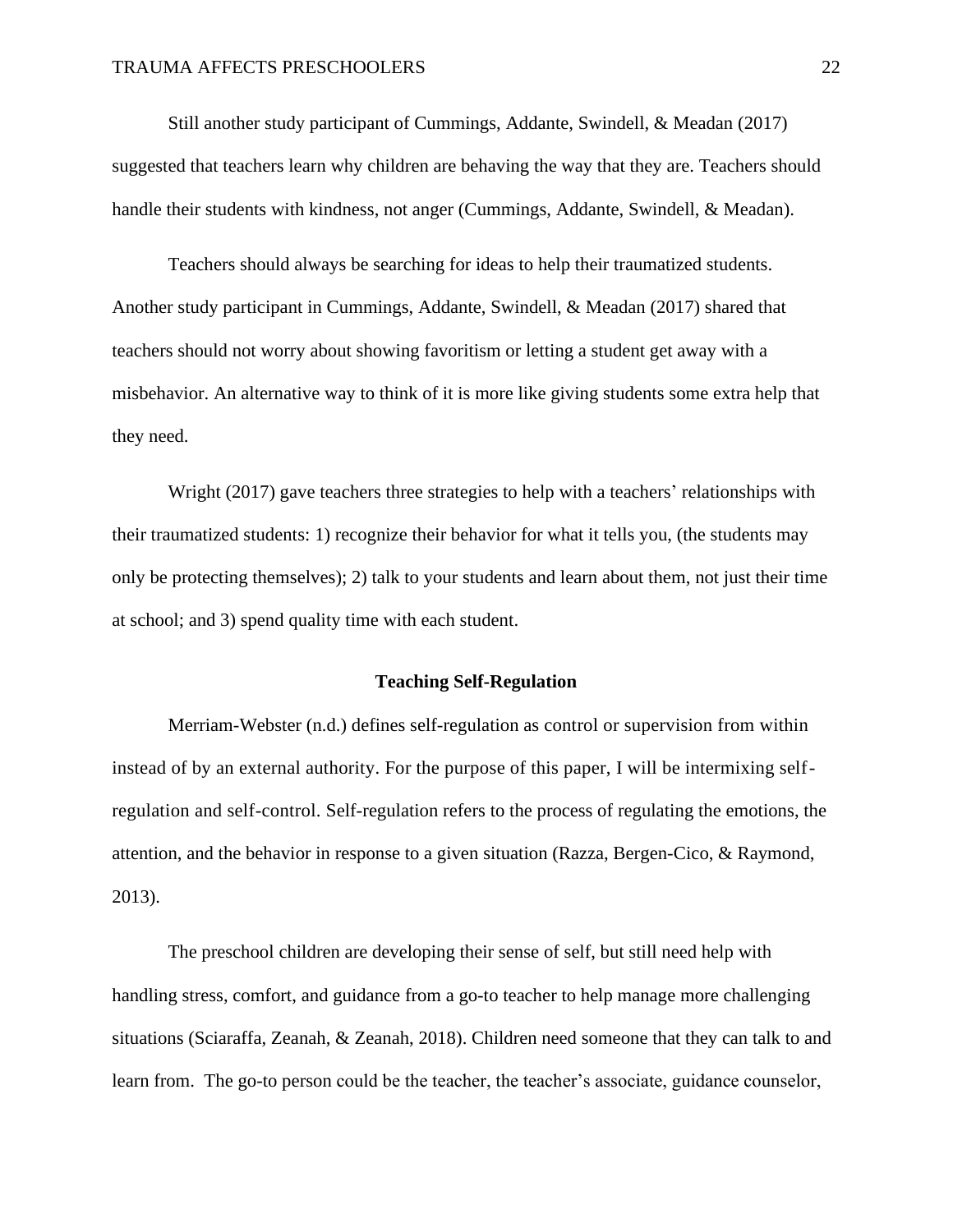Still another study participant of Cummings, Addante, Swindell, & Meadan (2017) suggested that teachers learn why children are behaving the way that they are. Teachers should handle their students with kindness, not anger (Cummings, Addante, Swindell, & Meadan).

Teachers should always be searching for ideas to help their traumatized students. Another study participant in Cummings, Addante, Swindell, & Meadan (2017) shared that teachers should not worry about showing favoritism or letting a student get away with a misbehavior. An alternative way to think of it is more like giving students some extra help that they need.

Wright (2017) gave teachers three strategies to help with a teachers' relationships with their traumatized students: 1) recognize their behavior for what it tells you, (the students may only be protecting themselves); 2) talk to your students and learn about them, not just their time at school; and 3) spend quality time with each student.

## **Teaching Self-Regulation**

<span id="page-22-0"></span>Merriam-Webster (n.d.) defines self-regulation as control or supervision from within instead of by an external authority. For the purpose of this paper, I will be intermixing selfregulation and self-control. Self-regulation refers to the process of regulating the emotions, the attention, and the behavior in response to a given situation (Razza, Bergen-Cico, & Raymond, 2013).

The preschool children are developing their sense of self, but still need help with handling stress, comfort, and guidance from a go-to teacher to help manage more challenging situations (Sciaraffa, Zeanah, & Zeanah, 2018). Children need someone that they can talk to and learn from. The go-to person could be the teacher, the teacher's associate, guidance counselor,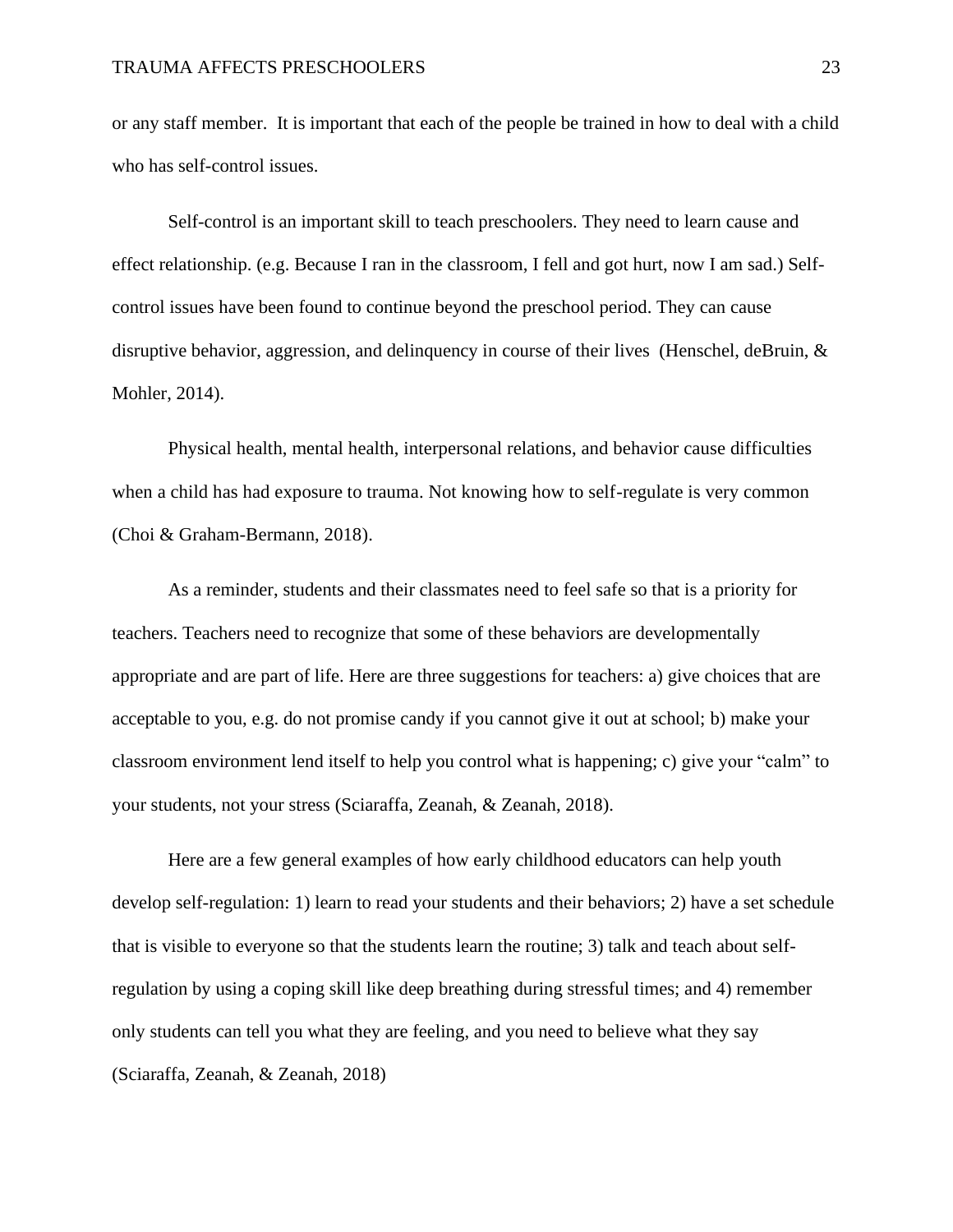or any staff member. It is important that each of the people be trained in how to deal with a child who has self-control issues.

Self-control is an important skill to teach preschoolers. They need to learn cause and effect relationship. (e.g. Because I ran in the classroom, I fell and got hurt, now I am sad.) Selfcontrol issues have been found to continue beyond the preschool period. They can cause disruptive behavior, aggression, and delinquency in course of their lives (Henschel, deBruin, & Mohler, 2014).

Physical health, mental health, interpersonal relations, and behavior cause difficulties when a child has had exposure to trauma. Not knowing how to self-regulate is very common (Choi & Graham-Bermann, 2018).

As a reminder, students and their classmates need to feel safe so that is a priority for teachers. Teachers need to recognize that some of these behaviors are developmentally appropriate and are part of life. Here are three suggestions for teachers: a) give choices that are acceptable to you, e.g. do not promise candy if you cannot give it out at school; b) make your classroom environment lend itself to help you control what is happening; c) give your "calm" to your students, not your stress (Sciaraffa, Zeanah, & Zeanah, 2018).

Here are a few general examples of how early childhood educators can help youth develop self-regulation: 1) learn to read your students and their behaviors; 2) have a set schedule that is visible to everyone so that the students learn the routine; 3) talk and teach about selfregulation by using a coping skill like deep breathing during stressful times; and 4) remember only students can tell you what they are feeling, and you need to believe what they say (Sciaraffa, Zeanah, & Zeanah, 2018)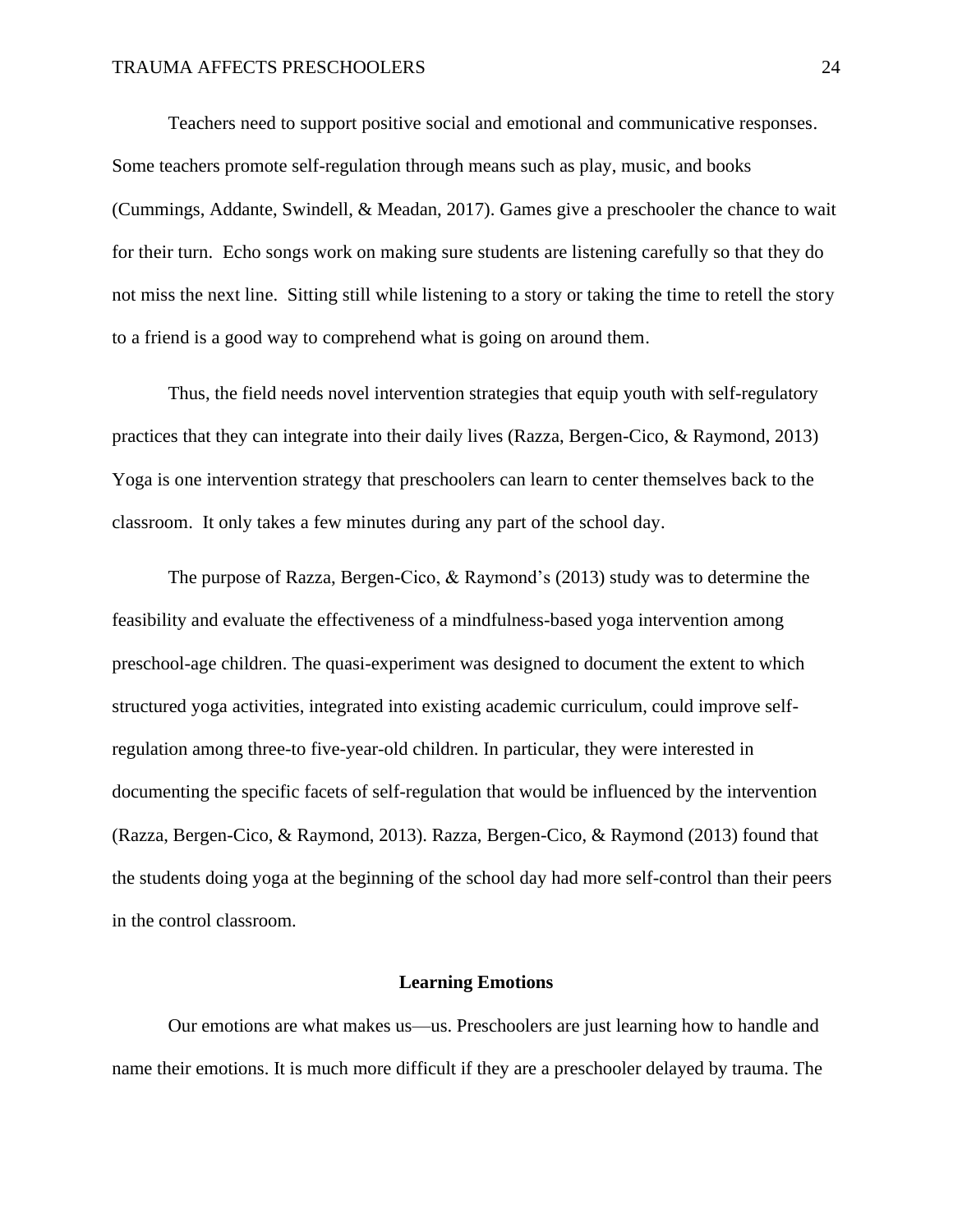Teachers need to support positive social and emotional and communicative responses. Some teachers promote self-regulation through means such as play, music, and books (Cummings, Addante, Swindell, & Meadan, 2017). Games give a preschooler the chance to wait for their turn. Echo songs work on making sure students are listening carefully so that they do not miss the next line. Sitting still while listening to a story or taking the time to retell the story to a friend is a good way to comprehend what is going on around them.

Thus, the field needs novel intervention strategies that equip youth with self-regulatory practices that they can integrate into their daily lives (Razza, Bergen-Cico, & Raymond, 2013) Yoga is one intervention strategy that preschoolers can learn to center themselves back to the classroom. It only takes a few minutes during any part of the school day.

The purpose of Razza, Bergen-Cico, & Raymond's (2013) study was to determine the feasibility and evaluate the effectiveness of a mindfulness-based yoga intervention among preschool-age children. The quasi-experiment was designed to document the extent to which structured yoga activities, integrated into existing academic curriculum, could improve selfregulation among three-to five-year-old children. In particular, they were interested in documenting the specific facets of self-regulation that would be influenced by the intervention (Razza, Bergen-Cico, & Raymond, 2013). Razza, Bergen-Cico, & Raymond (2013) found that the students doing yoga at the beginning of the school day had more self-control than their peers in the control classroom.

#### **Learning Emotions**

<span id="page-24-0"></span>Our emotions are what makes us—us. Preschoolers are just learning how to handle and name their emotions. It is much more difficult if they are a preschooler delayed by trauma. The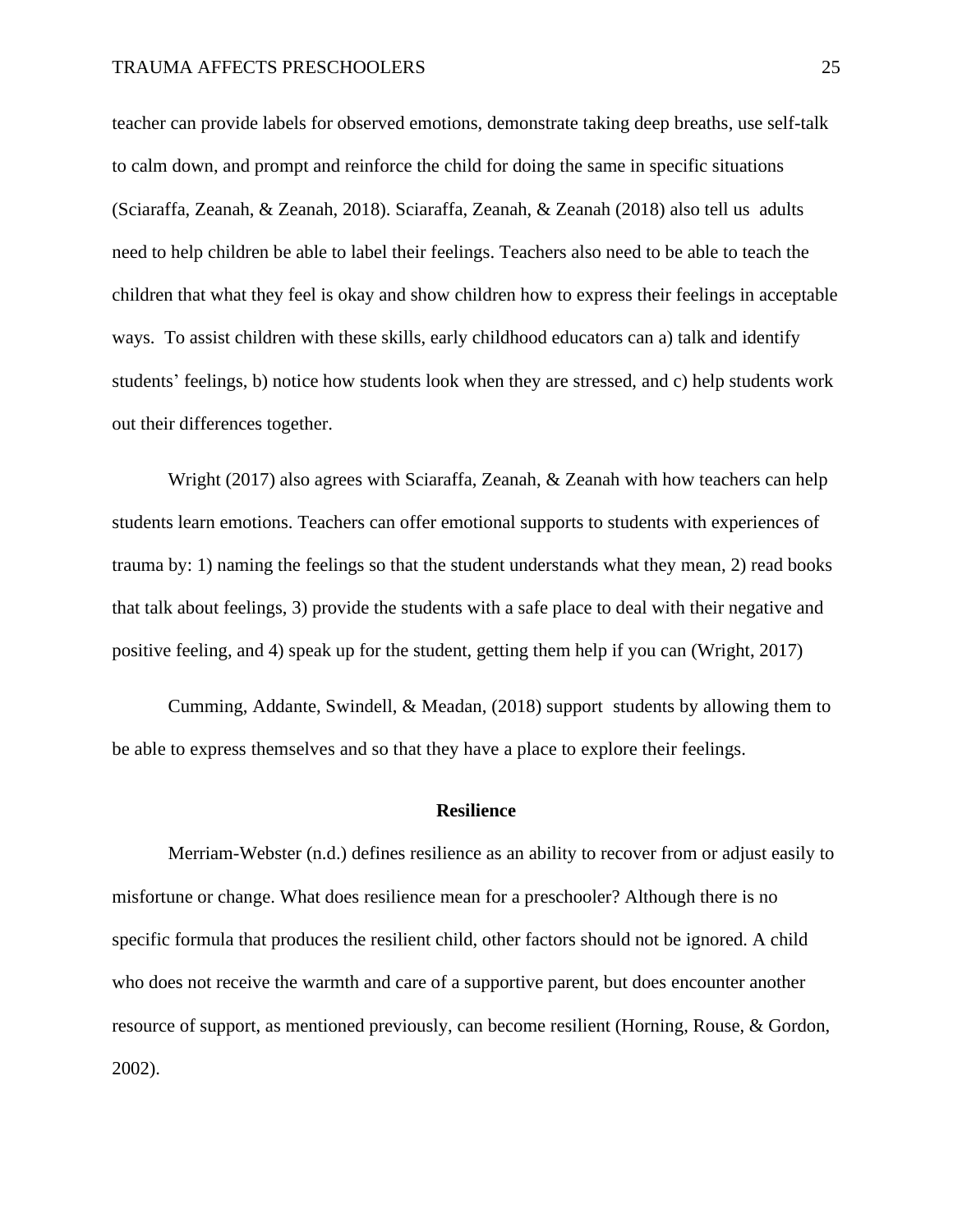teacher can provide labels for observed emotions, demonstrate taking deep breaths, use self-talk to calm down, and prompt and reinforce the child for doing the same in specific situations (Sciaraffa, Zeanah, & Zeanah, 2018). Sciaraffa, Zeanah, & Zeanah (2018) also tell us adults need to help children be able to label their feelings. Teachers also need to be able to teach the children that what they feel is okay and show children how to express their feelings in acceptable ways. To assist children with these skills, early childhood educators can a) talk and identify students' feelings, b) notice how students look when they are stressed, and c) help students work out their differences together.

Wright (2017) also agrees with Sciaraffa, Zeanah, & Zeanah with how teachers can help students learn emotions. Teachers can offer emotional supports to students with experiences of trauma by: 1) naming the feelings so that the student understands what they mean, 2) read books that talk about feelings, 3) provide the students with a safe place to deal with their negative and positive feeling, and 4) speak up for the student, getting them help if you can (Wright, 2017)

Cumming, Addante, Swindell, & Meadan, (2018) support students by allowing them to be able to express themselves and so that they have a place to explore their feelings.

#### **Resilience**

<span id="page-25-0"></span>Merriam-Webster (n.d.) defines resilience as an ability to recover from or adjust easily to misfortune or change. What does resilience mean for a preschooler? Although there is no specific formula that produces the resilient child, other factors should not be ignored. A child who does not receive the warmth and care of a supportive parent, but does encounter another resource of support, as mentioned previously, can become resilient (Horning, Rouse, & Gordon, 2002).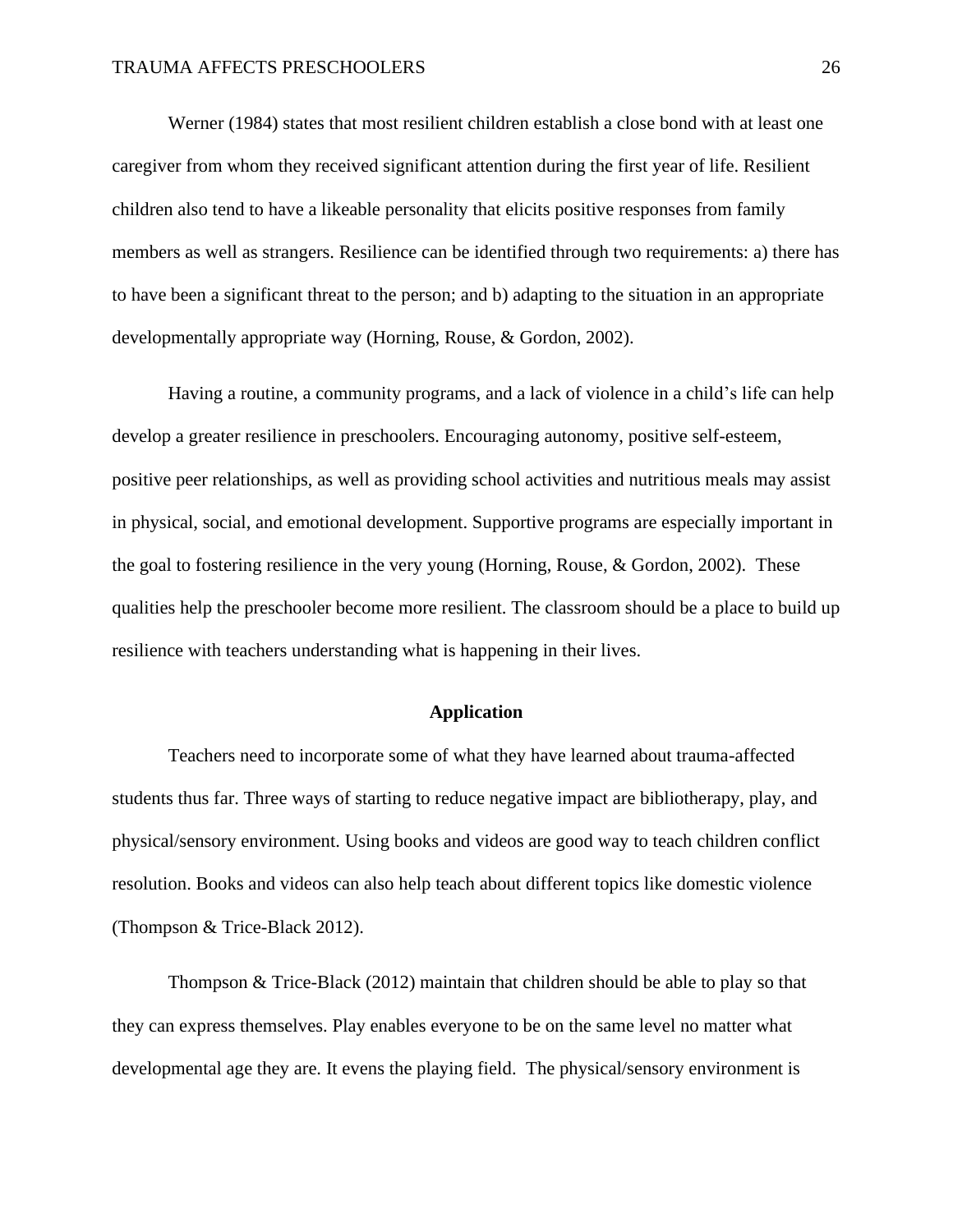Werner (1984) states that most resilient children establish a close bond with at least one caregiver from whom they received significant attention during the first year of life. Resilient children also tend to have a likeable personality that elicits positive responses from family members as well as strangers. Resilience can be identified through two requirements: a) there has to have been a significant threat to the person; and b) adapting to the situation in an appropriate developmentally appropriate way (Horning, Rouse, & Gordon, 2002).

Having a routine, a community programs, and a lack of violence in a child's life can help develop a greater resilience in preschoolers. Encouraging autonomy, positive self-esteem, positive peer relationships, as well as providing school activities and nutritious meals may assist in physical, social, and emotional development. Supportive programs are especially important in the goal to fostering resilience in the very young (Horning, Rouse, & Gordon, 2002). These qualities help the preschooler become more resilient. The classroom should be a place to build up resilience with teachers understanding what is happening in their lives.

## **Application**

<span id="page-26-0"></span>Teachers need to incorporate some of what they have learned about trauma-affected students thus far. Three ways of starting to reduce negative impact are bibliotherapy, play, and physical/sensory environment. Using books and videos are good way to teach children conflict resolution. Books and videos can also help teach about different topics like domestic violence (Thompson & Trice-Black 2012).

Thompson & Trice-Black (2012) maintain that children should be able to play so that they can express themselves. Play enables everyone to be on the same level no matter what developmental age they are. It evens the playing field. The physical/sensory environment is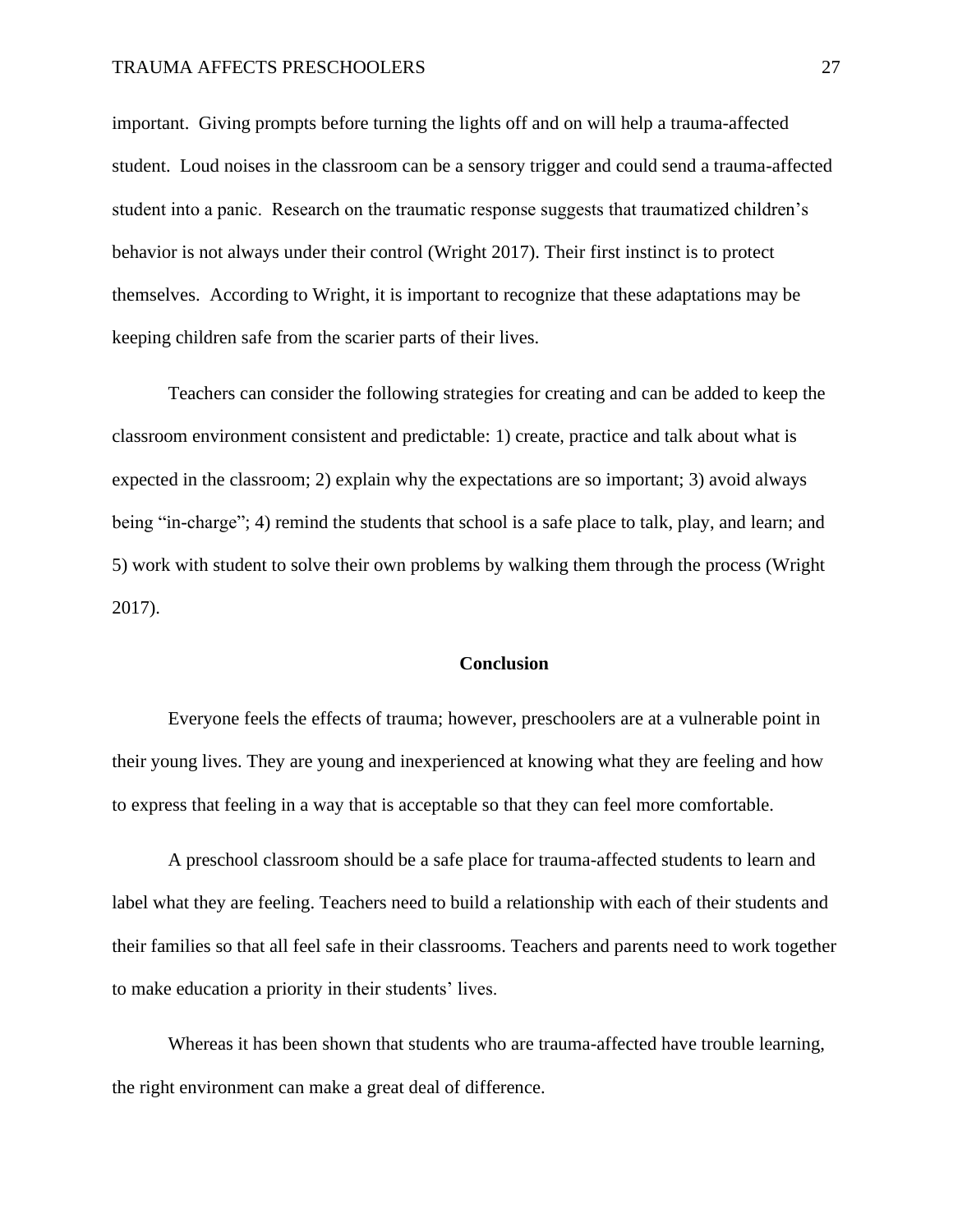important. Giving prompts before turning the lights off and on will help a trauma-affected student. Loud noises in the classroom can be a sensory trigger and could send a trauma-affected student into a panic. Research on the traumatic response suggests that traumatized children's behavior is not always under their control (Wright 2017). Their first instinct is to protect themselves. According to Wright, it is important to recognize that these adaptations may be keeping children safe from the scarier parts of their lives.

Teachers can consider the following strategies for creating and can be added to keep the classroom environment consistent and predictable: 1) create, practice and talk about what is expected in the classroom; 2) explain why the expectations are so important; 3) avoid always being "in-charge"; 4) remind the students that school is a safe place to talk, play, and learn; and 5) work with student to solve their own problems by walking them through the process (Wright 2017).

## **Conclusion**

<span id="page-27-0"></span>Everyone feels the effects of trauma; however, preschoolers are at a vulnerable point in their young lives. They are young and inexperienced at knowing what they are feeling and how to express that feeling in a way that is acceptable so that they can feel more comfortable.

A preschool classroom should be a safe place for trauma-affected students to learn and label what they are feeling. Teachers need to build a relationship with each of their students and their families so that all feel safe in their classrooms. Teachers and parents need to work together to make education a priority in their students' lives.

Whereas it has been shown that students who are trauma-affected have trouble learning, the right environment can make a great deal of difference.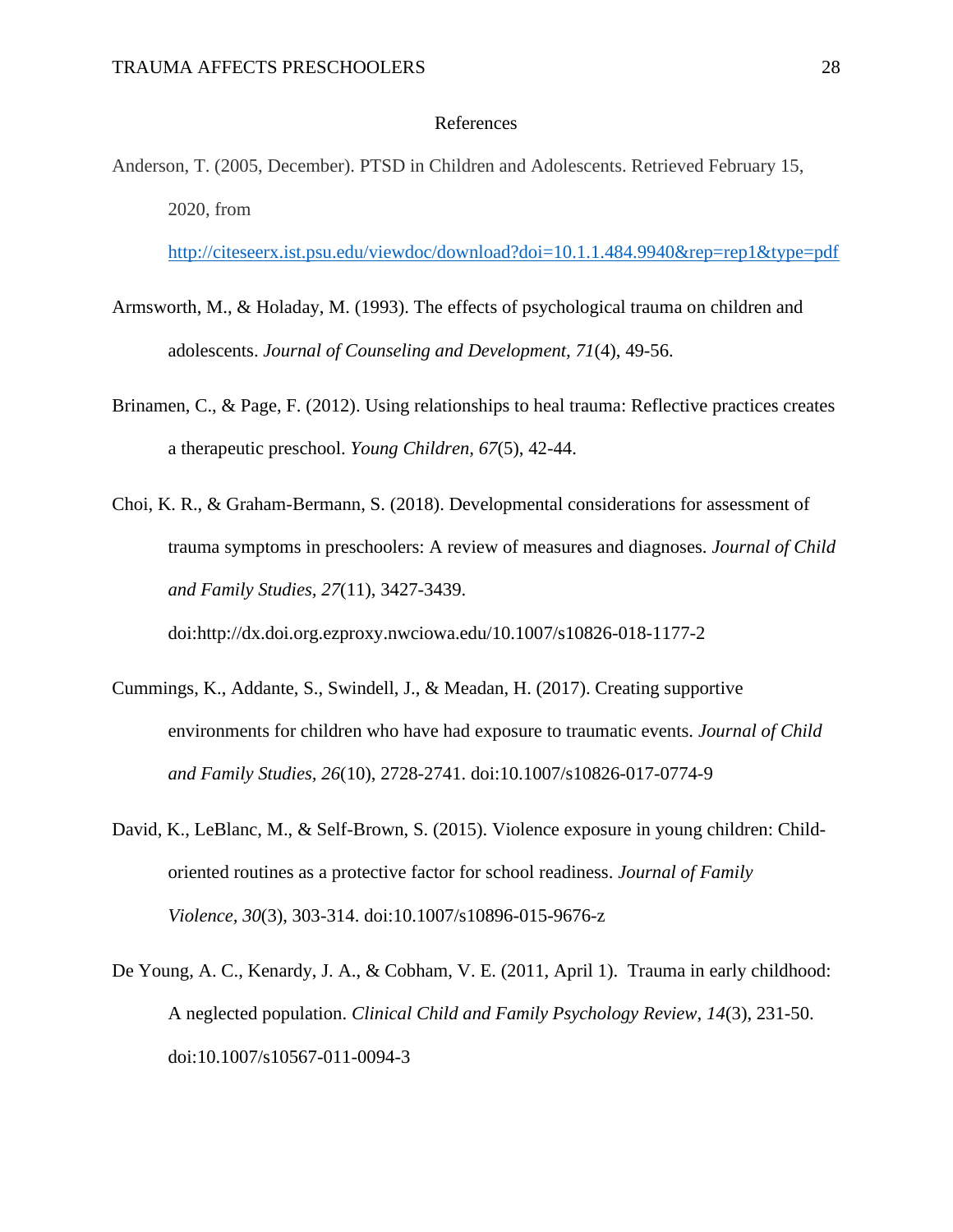## References

<span id="page-28-0"></span>Anderson, T. (2005, December). PTSD in Children and Adolescents. Retrieved February 15, 2020, from

<http://citeseerx.ist.psu.edu/viewdoc/download?doi=10.1.1.484.9940&rep=rep1&type=pdf>

- Armsworth, M., & Holaday, M. (1993). The effects of psychological trauma on children and adolescents. *Journal of Counseling and Development, 71*(4), 49-56.
- Brinamen, C., & Page, F. (2012). Using relationships to heal trauma: Reflective practices creates a therapeutic preschool. *Young Children, 67*(5), 42-44.
- Choi, K. R., & Graham-Bermann, S. (2018). Developmental considerations for assessment of trauma symptoms in preschoolers: A review of measures and diagnoses. *Journal of Child and Family Studies, 27*(11), 3427-3439. doi:http://dx.doi.org.ezproxy.nwciowa.edu/10.1007/s10826-018-1177-2
- Cummings, K., Addante, S., Swindell, J., & Meadan, H. (2017). Creating supportive environments for children who have had exposure to traumatic events. *Journal of Child and Family Studies, 26*(10), 2728-2741. doi:10.1007/s10826-017-0774-9
- David, K., LeBlanc, M., & Self-Brown, S. (2015). Violence exposure in young children: Childoriented routines as a protective factor for school readiness. *Journal of Family Violence, 30*(3), 303-314. doi:10.1007/s10896-015-9676-z
- De Young, A. C., Kenardy, J. A., & Cobham, V. E. (2011, April 1). Trauma in early childhood: A neglected population. *Clinical Child and Family Psychology Review, 14*(3), 231-50. doi:10.1007/s10567-011-0094-3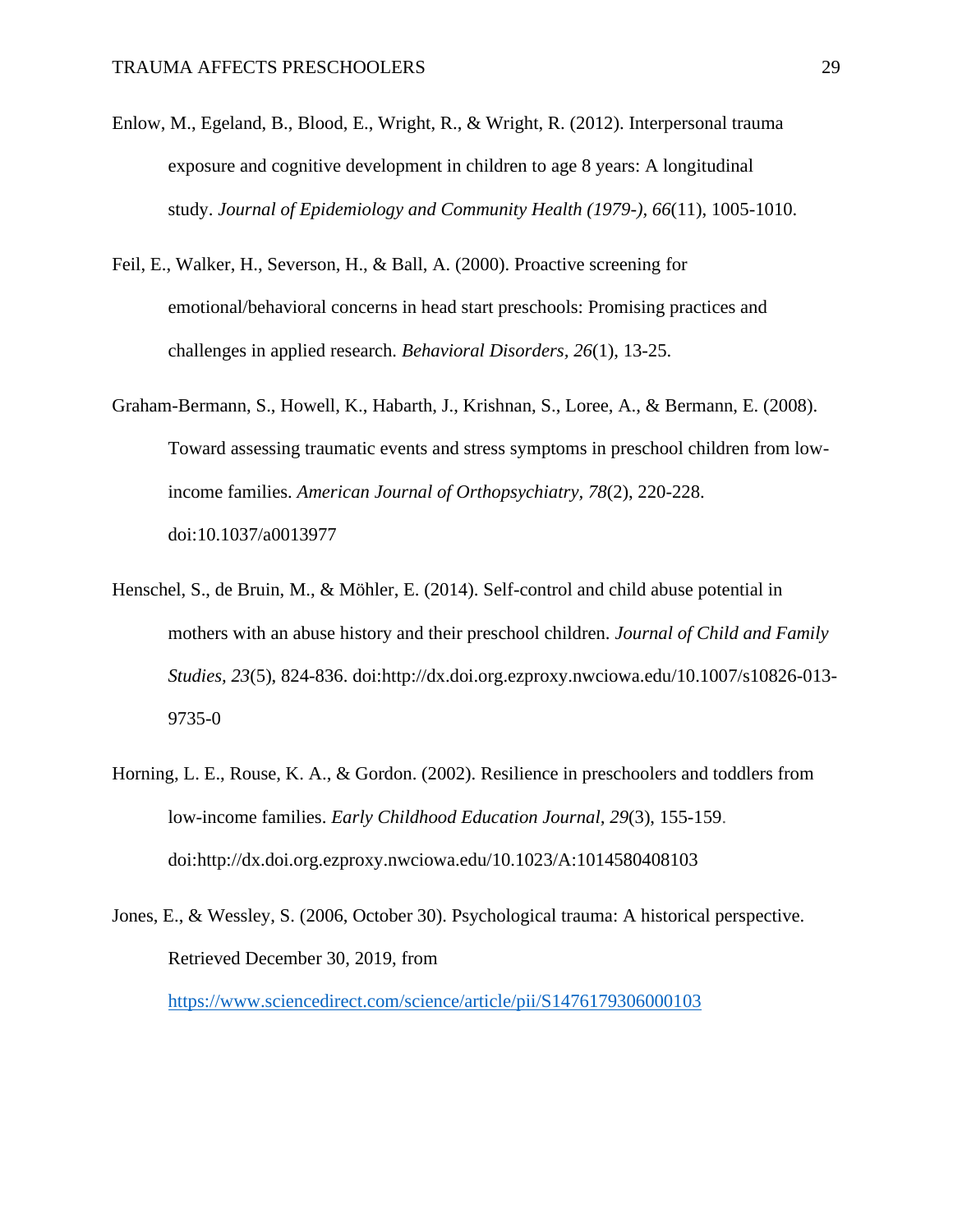- Enlow, M., Egeland, B., Blood, E., Wright, R., & Wright, R. (2012). Interpersonal trauma exposure and cognitive development in children to age 8 years: A longitudinal study. *Journal of Epidemiology and Community Health (1979-), 66*(11), 1005-1010.
- Feil, E., Walker, H., Severson, H., & Ball, A. (2000). Proactive screening for emotional/behavioral concerns in head start preschools: Promising practices and challenges in applied research. *Behavioral Disorders, 26*(1), 13-25.
- Graham-Bermann, S., Howell, K., Habarth, J., Krishnan, S., Loree, A., & Bermann, E. (2008). Toward assessing traumatic events and stress symptoms in preschool children from lowincome families. *American Journal of Orthopsychiatry, 78*(2), 220-228. doi:10.1037/a0013977
- Henschel, S., de Bruin, M., & Möhler, E. (2014). Self-control and child abuse potential in mothers with an abuse history and their preschool children. *Journal of Child and Family Studies, 23*(5), 824-836. doi:http://dx.doi.org.ezproxy.nwciowa.edu/10.1007/s10826-013- 9735-0
- Horning, L. E., Rouse, K. A., & Gordon. (2002). Resilience in preschoolers and toddlers from low-income families. *Early Childhood Education Journal, 29*(3), 155-159. doi:http://dx.doi.org.ezproxy.nwciowa.edu/10.1023/A:1014580408103
- Jones, E., & Wessley, S. (2006, October 30). Psychological trauma: A historical perspective. Retrieved December 30, 2019, from <https://www.sciencedirect.com/science/article/pii/S1476179306000103>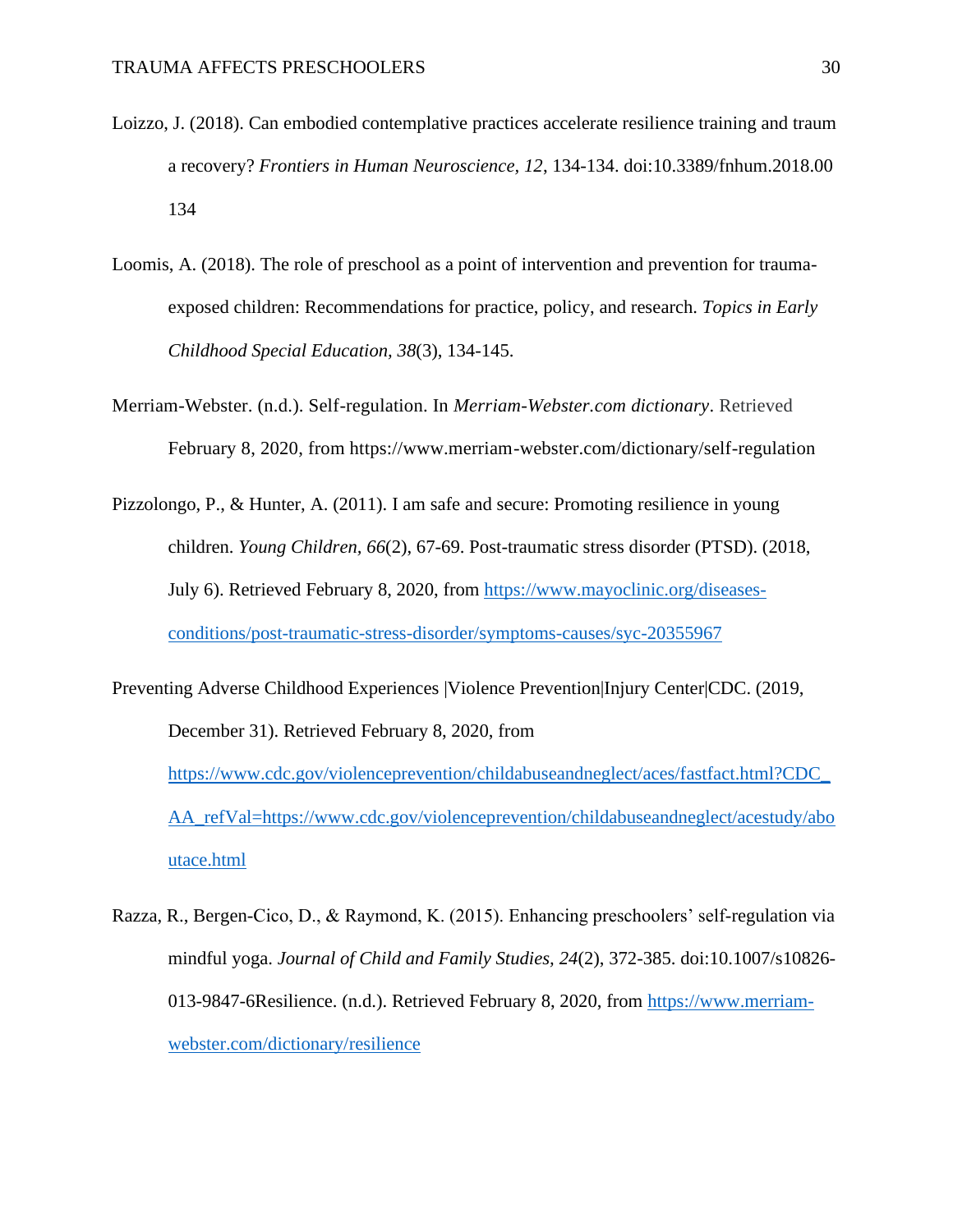- Loizzo, J. (2018). Can embodied contemplative practices accelerate resilience training and traum a recovery? *Frontiers in Human Neuroscience, 12*, 134-134. doi:10.3389/fnhum.2018.00 134
- Loomis, A. (2018). The role of preschool as a point of intervention and prevention for traumaexposed children: Recommendations for practice, policy, and research. *Topics in Early Childhood Special Education, 38*(3), 134-145.
- Merriam-Webster. (n.d.). Self-regulation. In *Merriam-Webster.com dictionary*. Retrieved February 8, 2020, from https://www.merriam-webster.com/dictionary/self-regulation
- Pizzolongo, P., & Hunter, A. (2011). I am safe and secure: Promoting resilience in young children. *Young Children, 66*(2), 67-69. Post-traumatic stress disorder (PTSD). (2018, July 6). Retrieved February 8, 2020, from [https://www.mayoclinic.org/diseases](https://www.mayoclinic.org/diseases-conditions/post-traumatic-stress-disorder/symptoms-causes/syc-20355967)[conditions/post-traumatic-stress-disorder/symptoms-causes/syc-20355967](https://www.mayoclinic.org/diseases-conditions/post-traumatic-stress-disorder/symptoms-causes/syc-20355967)
- Preventing Adverse Childhood Experiences |Violence Prevention|Injury Center|CDC. (2019, December 31). Retrieved February 8, 2020, from [https://www.cdc.gov/violenceprevention/childabuseandneglect/aces/fastfact.html?CDC\\_](https://www.cdc.gov/violenceprevention/childabuseandneglect/aces/fastfact.html?CDC_AA_refVal=https://www.cdc.gov/violenceprevention/childabuseandneglect/acestudy/aboutace.html) [AA\\_refVal=https://www.cdc.gov/violenceprevention/childabuseandneglect/acestudy/abo](https://www.cdc.gov/violenceprevention/childabuseandneglect/aces/fastfact.html?CDC_AA_refVal=https://www.cdc.gov/violenceprevention/childabuseandneglect/acestudy/aboutace.html) [utace.html](https://www.cdc.gov/violenceprevention/childabuseandneglect/aces/fastfact.html?CDC_AA_refVal=https://www.cdc.gov/violenceprevention/childabuseandneglect/acestudy/aboutace.html)
- Razza, R., Bergen-Cico, D., & Raymond, K. (2015). Enhancing preschoolers' self-regulation via mindful yoga. *Journal of Child and Family Studies, 24*(2), 372-385. doi:10.1007/s10826- 013-9847-6Resilience. (n.d.). Retrieved February 8, 2020, from [https://www.merriam](https://www.merriam-webster.com/dictionary/resilience)[webster.com/dictionary/resilience](https://www.merriam-webster.com/dictionary/resilience)